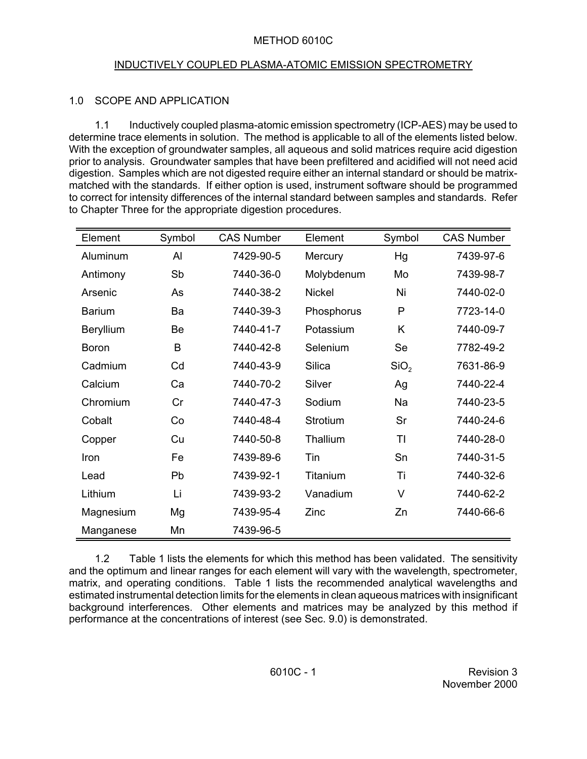#### METHOD 6010C

#### INDUCTIVELY COUPLED PLASMA-ATOMIC EMISSION SPECTROMETRY

# 1.0 SCOPE AND APPLICATION

1.1 Inductively coupled plasma-atomic emission spectrometry (ICP-AES) may be used to determine trace elements in solution. The method is applicable to all of the elements listed below. With the exception of groundwater samples, all aqueous and solid matrices require acid digestion prior to analysis. Groundwater samples that have been prefiltered and acidified will not need acid digestion. Samples which are not digested require either an internal standard or should be matrixmatched with the standards. If either option is used, instrument software should be programmed to correct for intensity differences of the internal standard between samples and standards. Refer to Chapter Three for the appropriate digestion procedures.

| Element       | Symbol | <b>CAS Number</b> | Element       | Symbol           | <b>CAS Number</b> |
|---------------|--------|-------------------|---------------|------------------|-------------------|
| Aluminum      | AI     | 7429-90-5         | Mercury       | Hg               | 7439-97-6         |
| Antimony      | Sb     | 7440-36-0         | Molybdenum    | Mo               | 7439-98-7         |
| Arsenic       | As     | 7440-38-2         | <b>Nickel</b> | Ni               | 7440-02-0         |
| <b>Barium</b> | Ba     | 7440-39-3         | Phosphorus    | P                | 7723-14-0         |
| Beryllium     | Be     | 7440-41-7         | Potassium     | K                | 7440-09-7         |
| <b>Boron</b>  | B      | 7440-42-8         | Selenium      | Se               | 7782-49-2         |
| Cadmium       | Cd     | 7440-43-9         | Silica        | SiO <sub>2</sub> | 7631-86-9         |
| Calcium       | Ca     | 7440-70-2         | Silver        | Ag               | 7440-22-4         |
| Chromium      | Cr     | 7440-47-3         | Sodium        | Na               | 7440-23-5         |
| Cobalt        | Co     | 7440-48-4         | Strotium      | Sr               | 7440-24-6         |
| Copper        | Cu     | 7440-50-8         | Thallium      | TI               | 7440-28-0         |
| Iron          | Fe     | 7439-89-6         | Tin           | Sn               | 7440-31-5         |
| Lead          | Pb     | 7439-92-1         | Titanium      | Τi               | 7440-32-6         |
| Lithium       | Li     | 7439-93-2         | Vanadium      | $\vee$           | 7440-62-2         |
| Magnesium     | Mg     | 7439-95-4         | Zinc          | Zn               | 7440-66-6         |
| Manganese     | Mn     | 7439-96-5         |               |                  |                   |

 matrix, and operating conditions. Table 1 lists the recommended analytical wavelengths and 1.2 Table 1 lists the elements for which this method has been validated. The sensitivity and the optimum and linear ranges for each element will vary with the wavelength, spectrometer, estimated instrumental detection limits for the elements in clean aqueous matrices with insignificant background interferences. Other elements and matrices may be analyzed by this method if performance at the concentrations of interest (see Sec. 9.0) is demonstrated.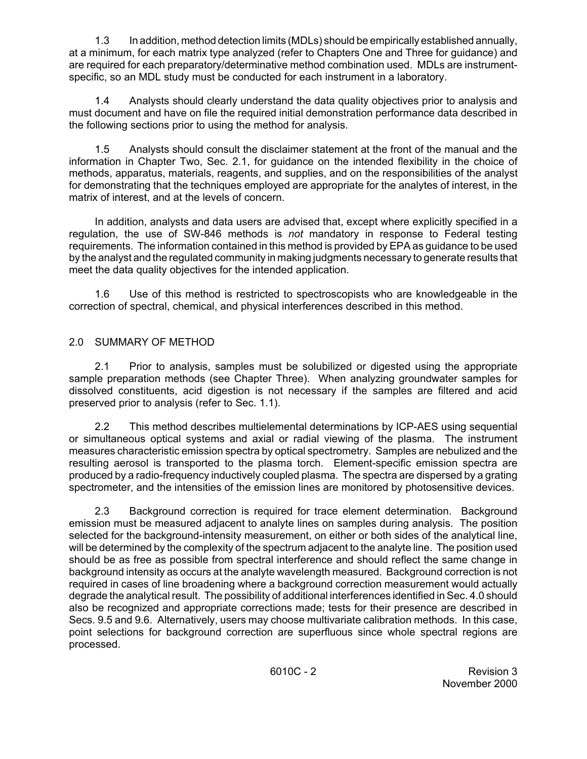1.3 In addition, method detection limits (MDLs) should be empirically established annually, at a minimum, for each matrix type analyzed (refer to Chapters One and Three for guidance) and are required for each preparatory/determinative method combination used. MDLs are instrumentspecific, so an MDL study must be conducted for each instrument in a laboratory.

1.4 Analysts should clearly understand the data quality objectives prior to analysis and must document and have on file the required initial demonstration performance data described in the following sections prior to using the method for analysis.

 information in Chapter Two, Sec. 2.1, for guidance on the intended flexibility in the choice of 1.5 Analysts should consult the disclaimer statement at the front of the manual and the methods, apparatus, materials, reagents, and supplies, and on the responsibilities of the analyst for demonstrating that the techniques employed are appropriate for the analytes of interest, in the matrix of interest, and at the levels of concern.

In addition, analysts and data users are advised that, except where explicitly specified in a regulation, the use of SW-846 methods is *not* mandatory in response to Federal testing requirements. The information contained in this method is provided by EPA as guidance to be used by the analyst and the regulated community in making judgments necessary to generate results that meet the data quality objectives for the intended application.

1.6 Use of this method is restricted to spectroscopists who are knowledgeable in the correction of spectral, chemical, and physical interferences described in this method.

# 2.0 SUMMARY OF METHOD

 dissolved constituents, acid digestion is not necessary if the samples are filtered and acid 2.1 Prior to analysis, samples must be solubilized or digested using the appropriate sample preparation methods (see Chapter Three). When analyzing groundwater samples for preserved prior to analysis (refer to Sec. 1.1).

2.2 This method describes multielemental determinations by ICP-AES using sequential or simultaneous optical systems and axial or radial viewing of the plasma. The instrument measures characteristic emission spectra by optical spectrometry. Samples are nebulized and the resulting aerosol is transported to the plasma torch. Element-specific emission spectra are produced by a radio-frequency inductively coupled plasma. The spectra are dispersed by a grating spectrometer, and the intensities of the emission lines are monitored by photosensitive devices.

 2.3 Background correction is required for trace element determination. Background emission must be measured adjacent to analyte lines on samples during analysis. The position selected for the background-intensity measurement, on either or both sides of the analytical line, will be determined by the complexity of the spectrum adjacent to the analyte line. The position used should be as free as possible from spectral interference and should reflect the same change in background intensity as occurs at the analyte wavelength measured. Background correction is not required in cases of line broadening where a background correction measurement would actually degrade the analytical result. The possibility of additional interferences identified in Sec. 4.0 should also be recognized and appropriate corrections made; tests for their presence are described in Secs. 9.5 and 9.6. Alternatively, users may choose multivariate calibration methods. In this case, point selections for background correction are superfluous since whole spectral regions are processed.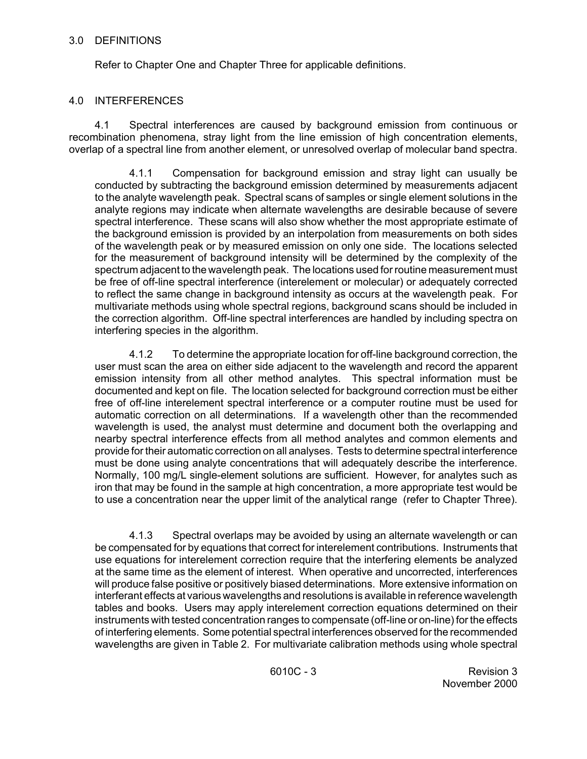#### 3.0 DEFINITIONS

Refer to Chapter One and Chapter Three for applicable definitions.

#### 4.0 INTERFERENCES

4.1 Spectral interferences are caused by background emission from continuous or recombination phenomena, stray light from the line emission of high concentration elements, overlap of a spectral line from another element, or unresolved overlap of molecular band spectra.

 analyte regions may indicate when alternate wavelengths are desirable because of severe 4.1.1 Compensation for background emission and stray light can usually be conducted by subtracting the background emission determined by measurements adjacent to the analyte wavelength peak. Spectral scans of samples or single element solutions in the spectral interference. These scans will also show whether the most appropriate estimate of the background emission is provided by an interpolation from measurements on both sides of the wavelength peak or by measured emission on only one side. The locations selected for the measurement of background intensity will be determined by the complexity of the spectrum adjacent to the wavelength peak. The locations used for routine measurement must be free of off-line spectral interference (interelement or molecular) or adequately corrected to reflect the same change in background intensity as occurs at the wavelength peak. For multivariate methods using whole spectral regions, background scans should be included in the correction algorithm. Off-line spectral interferences are handled by including spectra on interfering species in the algorithm.

 free of off-line interelement spectral interference or a computer routine must be used for must be done using analyte concentrations that will adequately describe the interference. 4.1.2 To determine the appropriate location for off-line background correction, the user must scan the area on either side adjacent to the wavelength and record the apparent emission intensity from all other method analytes. This spectral information must be documented and kept on file. The location selected for background correction must be either automatic correction on all determinations. If a wavelength other than the recommended wavelength is used, the analyst must determine and document both the overlapping and nearby spectral interference effects from all method analytes and common elements and provide for their automatic correction on all analyses. Tests to determine spectral interference Normally, 100 mg/L single-element solutions are sufficient. However, for analytes such as iron that may be found in the sample at high concentration, a more appropriate test would be to use a concentration near the upper limit of the analytical range (refer to Chapter Three).

4.1.3 Spectral overlaps may be avoided by using an alternate wavelength or can be compensated for by equations that correct for interelement contributions. Instruments that use equations for interelement correction require that the interfering elements be analyzed at the same time as the element of interest. When operative and uncorrected, interferences will produce false positive or positively biased determinations. More extensive information on interferant effects at various wavelengths and resolutions is available in reference wavelength tables and books. Users may apply interelement correction equations determined on their instruments with tested concentration ranges to compensate (off-line or on-line) for the effects of interfering elements. Some potential spectral interferences observed for the recommended wavelengths are given in Table 2. For multivariate calibration methods using whole spectral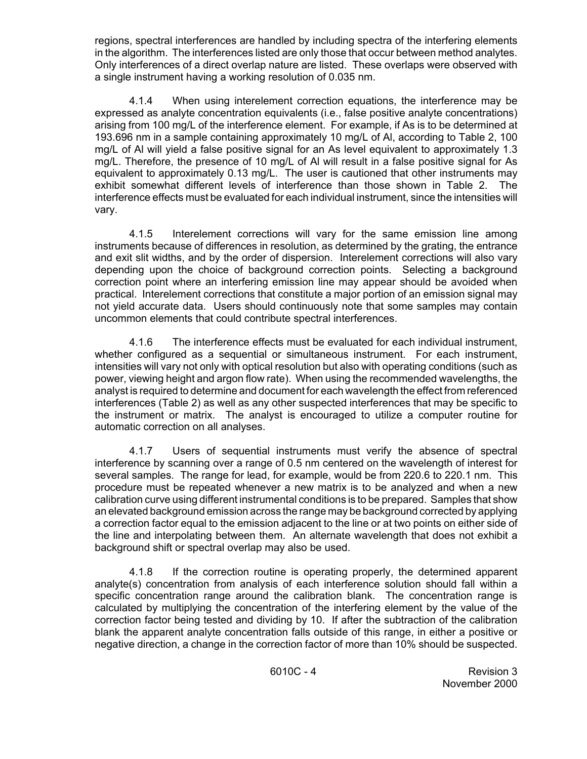regions, spectral interferences are handled by including spectra of the interfering elements in the algorithm. The interferences listed are only those that occur between method analytes. Only interferences of a direct overlap nature are listed. These overlaps were observed with a single instrument having a working resolution of 0.035 nm.

4.1.4 When using interelement correction equations, the interference may be expressed as analyte concentration equivalents (i.e., false positive analyte concentrations) arising from 100 mg/L of the interference element. For example, if As is to be determined at 193.696 nm in a sample containing approximately 10 mg/L of Al, according to Table 2, 100 mg/L of Al will yield a false positive signal for an As level equivalent to approximately 1.3 mg/L. Therefore, the presence of 10 mg/L of Al will result in a false positive signal for As equivalent to approximately 0.13 mg/L. The user is cautioned that other instruments may exhibit somewhat different levels of interference than those shown in Table 2. The interference effects must be evaluated for each individual instrument, since the intensities will vary.

4.1.5 Interelement corrections will vary for the same emission line among instruments because of differences in resolution, as determined by the grating, the entrance and exit slit widths, and by the order of dispersion. Interelement corrections will also vary depending upon the choice of background correction points. Selecting a background correction point where an interfering emission line may appear should be avoided when practical. Interelement corrections that constitute a major portion of an emission signal may not yield accurate data. Users should continuously note that some samples may contain uncommon elements that could contribute spectral interferences.

4.1.6 The interference effects must be evaluated for each individual instrument, whether configured as a sequential or simultaneous instrument. For each instrument, intensities will vary not only with optical resolution but also with operating conditions (such as power, viewing height and argon flow rate). When using the recommended wavelengths, the analyst is required to determine and document for each wavelength the effect from referenced interferences (Table 2) as well as any other suspected interferences that may be specific to the instrument or matrix. The analyst is encouraged to utilize a computer routine for automatic correction on all analyses.

4.1.7 Users of sequential instruments must verify the absence of spectral interference by scanning over a range of 0.5 nm centered on the wavelength of interest for several samples. The range for lead, for example, would be from 220.6 to 220.1 nm. This procedure must be repeated whenever a new matrix is to be analyzed and when a new calibration curve using different instrumental conditions is to be prepared. Samples that show an elevated background emission across the range may be background corrected by applying a correction factor equal to the emission adjacent to the line or at two points on either side of the line and interpolating between them. An alternate wavelength that does not exhibit a background shift or spectral overlap may also be used.

4.1.8 If the correction routine is operating properly, the determined apparent analyte(s) concentration from analysis of each interference solution should fall within a specific concentration range around the calibration blank. The concentration range is calculated by multiplying the concentration of the interfering element by the value of the correction factor being tested and dividing by 10. If after the subtraction of the calibration blank the apparent analyte concentration falls outside of this range, in either a positive or negative direction, a change in the correction factor of more than 10% should be suspected.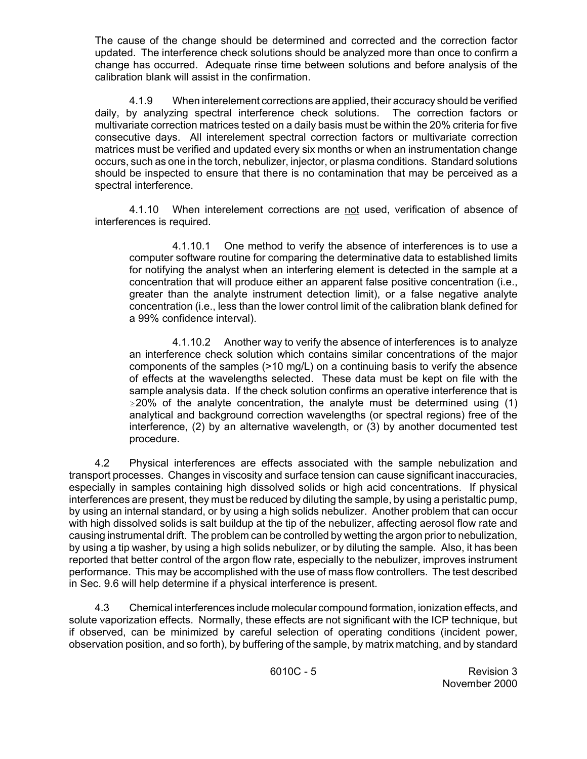The cause of the change should be determined and corrected and the correction factor updated. The interference check solutions should be analyzed more than once to confirm a change has occurred. Adequate rinse time between solutions and before analysis of the calibration blank will assist in the confirmation.

 should be inspected to ensure that there is no contamination that may be perceived as a 4.1.9 When interelement corrections are applied, their accuracy should be verified daily, by analyzing spectral interference check solutions. The correction factors or multivariate correction matrices tested on a daily basis must be within the 20% criteria for five consecutive days. All interelement spectral correction factors or multivariate correction matrices must be verified and updated every six months or when an instrumentation change occurs, such as one in the torch, nebulizer, injector, or plasma conditions. Standard solutions spectral interference.

4.1.10 When interelement corrections are not used, verification of absence of interferences is required.

4.1.10.1 One method to verify the absence of interferences is to use a computer software routine for comparing the determinative data to established limits for notifying the analyst when an interfering element is detected in the sample at a concentration that will produce either an apparent false positive concentration (i.e., greater than the analyte instrument detection limit), or a false negative analyte concentration (i.e., less than the lower control limit of the calibration blank defined for a 99% confidence interval).

 of effects at the wavelengths selected. These data must be kept on file with the 4.1.10.2 Another way to verify the absence of interferences is to analyze an interference check solution which contains similar concentrations of the major components of the samples (>10 mg/L) on a continuing basis to verify the absence sample analysis data. If the check solution confirms an operative interference that is  $\geq$  20% of the analyte concentration, the analyte must be determined using (1) analytical and background correction wavelengths (or spectral regions) free of the interference, (2) by an alternative wavelength, or (3) by another documented test procedure.

4.2 Physical interferences are effects associated with the sample nebulization and transport processes. Changes in viscosity and surface tension can cause significant inaccuracies, especially in samples containing high dissolved solids or high acid concentrations. If physical interferences are present, they must be reduced by diluting the sample, by using a peristaltic pump, by using an internal standard, or by using a high solids nebulizer. Another problem that can occur with high dissolved solids is salt buildup at the tip of the nebulizer, affecting aerosol flow rate and causing instrumental drift. The problem can be controlled by wetting the argon prior to nebulization, by using a tip washer, by using a high solids nebulizer, or by diluting the sample. Also, it has been reported that better control of the argon flow rate, especially to the nebulizer, improves instrument performance. This may be accomplished with the use of mass flow controllers. The test described in Sec. 9.6 will help determine if a physical interference is present.

4.3 Chemical interferences include molecular compound formation, ionization effects, and solute vaporization effects. Normally, these effects are not significant with the ICP technique, but if observed, can be minimized by careful selection of operating conditions (incident power, observation position, and so forth), by buffering of the sample, by matrix matching, and by standard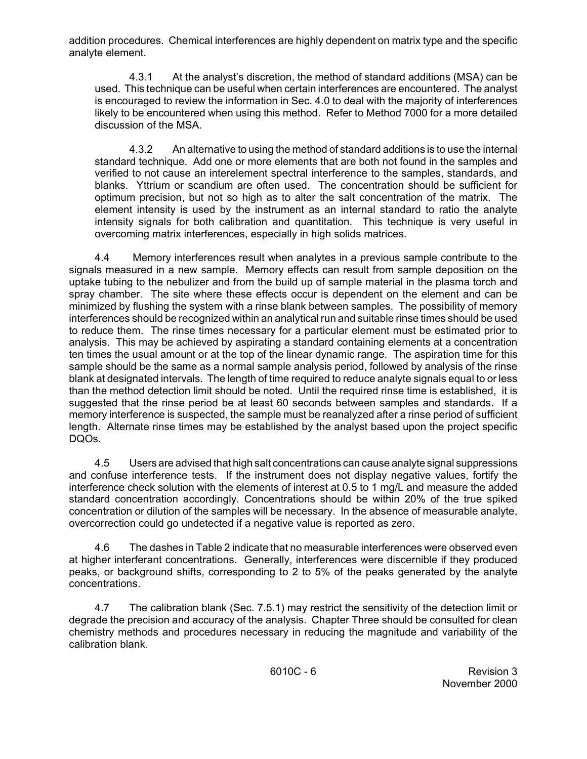addition procedures. Chemical interferences are highly dependent on matrix type and the specific analyte element.

4.3.1 At the analyst's discretion, the method of standard additions (MSA) can be used. This technique can be useful when certain interferences are encountered. The analyst is encouraged to review the information in Sec. 4.0 to deal with the majority of interferences likely to be encountered when using this method. Refer to Method 7000 for a more detailed discussion of the MSA.

4.3.2 An alternative to using the method of standard additions is to use the internal standard technique. Add one or more elements that are both not found in the samples and verified to not cause an interelement spectral interference to the samples, standards, and blanks. Yttrium or scandium are often used. The concentration should be sufficient for optimum precision, but not so high as to alter the salt concentration of the matrix. The element intensity is used by the instrument as an internal standard to ratio the analyte intensity signals for both calibration and quantitation. This technique is very useful in overcoming matrix interferences, especially in high solids matrices.

 spray chamber. The site where these effects occur is dependent on the element and can be 4.4 Memory interferences result when analytes in a previous sample contribute to the signals measured in a new sample. Memory effects can result from sample deposition on the uptake tubing to the nebulizer and from the build up of sample material in the plasma torch and minimized by flushing the system with a rinse blank between samples. The possibility of memory interferences should be recognized within an analytical run and suitable rinse times should be used to reduce them. The rinse times necessary for a particular element must be estimated prior to analysis. This may be achieved by aspirating a standard containing elements at a concentration ten times the usual amount or at the top of the linear dynamic range. The aspiration time for this sample should be the same as a normal sample analysis period, followed by analysis of the rinse blank at designated intervals. The length of time required to reduce analyte signals equal to or less than the method detection limit should be noted. Until the required rinse time is established, it is suggested that the rinse period be at least 60 seconds between samples and standards. If a memory interference is suspected, the sample must be reanalyzed after a rinse period of sufficient length. Alternate rinse times may be established by the analyst based upon the project specific DQOs.

 and confuse interference tests. If the instrument does not display negative values, fortify the 4.5 Users are advised that high salt concentrations can cause analyte signal suppressions interference check solution with the elements of interest at 0.5 to 1 mg/L and measure the added standard concentration accordingly. Concentrations should be within 20% of the true spiked concentration or dilution of the samples will be necessary. In the absence of measurable analyte, overcorrection could go undetected if a negative value is reported as zero.

4.6 The dashes in Table 2 indicate that no measurable interferences were observed even at higher interferant concentrations. Generally, interferences were discernible if they produced peaks, or background shifts, corresponding to 2 to 5% of the peaks generated by the analyte concentrations.

4.7 The calibration blank (Sec. 7.5.1) may restrict the sensitivity of the detection limit or degrade the precision and accuracy of the analysis. Chapter Three should be consulted for clean chemistry methods and procedures necessary in reducing the magnitude and variability of the calibration blank.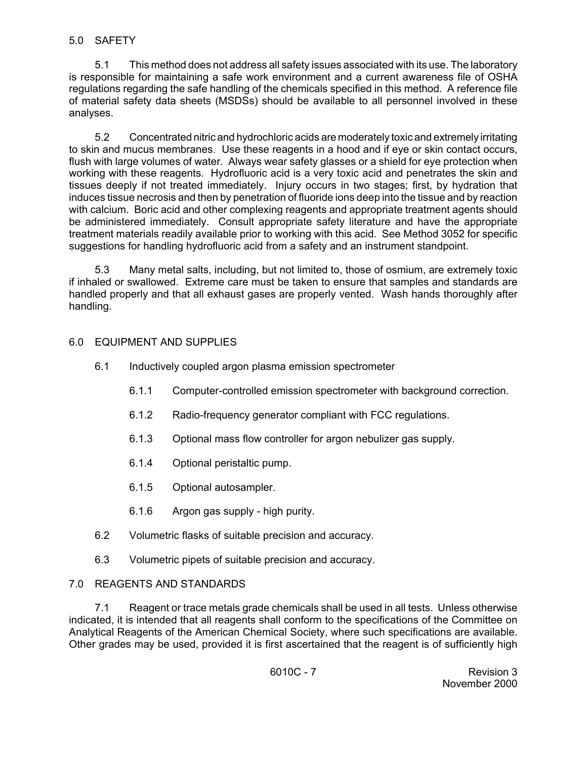#### 5.0 SAFETY

 of material safety data sheets (MSDSs) should be available to all personnel involved in these 5.1 This method does not address all safety issues associated with its use. The laboratory is responsible for maintaining a safe work environment and a current awareness file of OSHA regulations regarding the safe handling of the chemicals specified in this method. A reference file analyses.

 working with these reagents. Hydrofluoric acid is a very toxic acid and penetrates the skin and 5.2 Concentrated nitric and hydrochloric acids are moderately toxic and extremely irritating to skin and mucus membranes. Use these reagents in a hood and if eye or skin contact occurs, flush with large volumes of water. Always wear safety glasses or a shield for eye protection when tissues deeply if not treated immediately. Injury occurs in two stages; first, by hydration that induces tissue necrosis and then by penetration of fluoride ions deep into the tissue and by reaction with calcium. Boric acid and other complexing reagents and appropriate treatment agents should be administered immediately. Consult appropriate safety literature and have the appropriate treatment materials readily available prior to working with this acid. See Method 3052 for specific suggestions for handling hydrofluoric acid from a safety and an instrument standpoint.

 if inhaled or swallowed. Extreme care must be taken to ensure that samples and standards are handled properly and that all exhaust gases are properly vented. Wash hands thoroughly after 5.3 Many metal salts, including, but not limited to, those of osmium, are extremely toxic handling.

## 6.0 EQUIPMENT AND SUPPLIES

- 6.1 Inductively coupled argon plasma emission spectrometer
	- 6.1.1 Computer-controlled emission spectrometer with background correction.
	- 6.1.2 Radio-frequency generator compliant with FCC regulations.
	- 6.1.3 Optional mass flow controller for argon nebulizer gas supply.
	- 6.1.4 Optional peristaltic pump.
	- 6.1.5 Optional autosampler.
	- 6.1.6 Argon gas supply high purity.
- 6.2 Volumetric flasks of suitable precision and accuracy.
- 6.3 Volumetric pipets of suitable precision and accuracy.

## 7.0 REAGENTS AND STANDARDS

7.1 Reagent or trace metals grade chemicals shall be used in all tests. Unless otherwise indicated, it is intended that all reagents shall conform to the specifications of the Committee on Analytical Reagents of the American Chemical Society, where such specifications are available. Other grades may be used, provided it is first ascertained that the reagent is of sufficiently high

6010C - 7 Revision 3 November 2000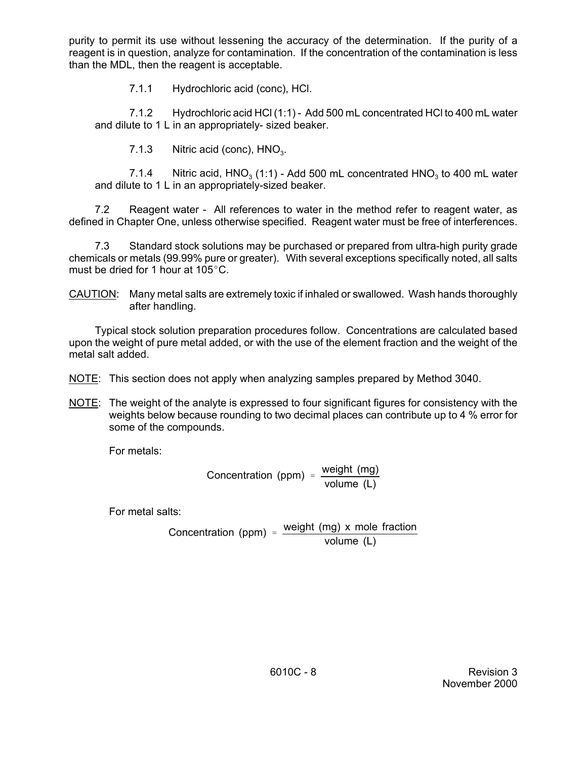purity to permit its use without lessening the accuracy of the determination. If the purity of a reagent is in question, analyze for contamination. If the concentration of the contamination is less than the MDL, then the reagent is acceptable.

7.1.1 Hydrochloric acid (conc), HCl.

7.1.2 Hydrochloric acid HCl (1:1) - Add 500 mL concentrated HCl to 400 mL water and dilute to 1 L in an appropriately- sized beaker.

7.1.3 Nitric acid (conc),  $HNO<sub>3</sub>$ .

7.1.4 Nitric acid,  $HNO<sub>3</sub>$  (1:1) - Add 500 mL concentrated  $HNO<sub>3</sub>$  to 400 mL water and dilute to 1 L in an appropriately-sized beaker.

7.2 Reagent water - All references to water in the method refer to reagent water, as defined in Chapter One, unless otherwise specified. Reagent water must be free of interferences.

 chemicals or metals (99.99% pure or greater). With several exceptions specifically noted, all salts 7.3 Standard stock solutions may be purchased or prepared from ultra-high purity grade must be dried for 1 hour at  $105^{\circ}$ C.

CAUTION: Many metal salts are extremely toxic if inhaled or swallowed. Wash hands thoroughly after handling.

Typical stock solution preparation procedures follow. Concentrations are calculated based upon the weight of pure metal added, or with the use of the element fraction and the weight of the metal salt added.

NOTE: This section does not apply when analyzing samples prepared by Method 3040.

NOTE: The weight of the analyte is expressed to four significant figures for consistency with the weights below because rounding to two decimal places can contribute up to 4 % error for some of the compounds.

For metals:

$$
Concentration (ppm) = \frac{weight (mg)}{volume (L)}
$$

For metal salts:

Concentration (ppm) =  $\frac{\text{weight (mg)} \times \text{mole fraction}}{\text{volume (L)}}$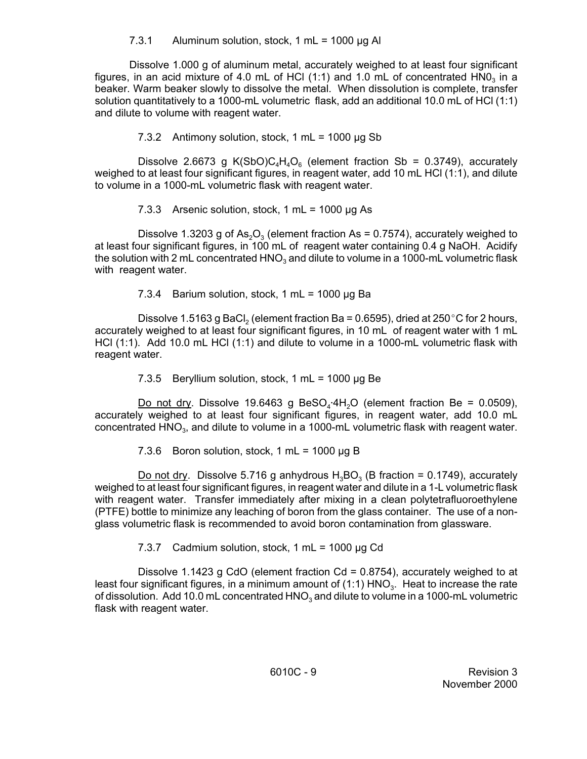## 7.3.1 Aluminum solution, stock, 1 mL =  $1000 \mu g$  Al

Dissolve 1.000 g of aluminum metal, accurately weighed to at least four significant figures, in an acid mixture of 4.0 mL of HCl (1:1) and 1.0 mL of concentrated  $HNO<sub>3</sub>$  in a beaker. Warm beaker slowly to dissolve the metal. When dissolution is complete, transfer solution quantitatively to a 1000-mL volumetric flask, add an additional 10.0 mL of HCl (1:1) and dilute to volume with reagent water.

# 7.3.2 Antimony solution, stock, 1 mL =  $1000 \mu g$  Sb

Dissolve 2.6673 g K(SbO)C<sub>4</sub>H<sub>4</sub>O<sub>6</sub> (element fraction Sb = 0.3749), accurately weighed to at least four significant figures, in reagent water, add 10 mL HCl (1:1), and dilute to volume in a 1000-mL volumetric flask with reagent water.

7.3.3 Arsenic solution, stock,  $1 \text{ mL} = 1000 \mu\text{g}$  As

Dissolve 1.3203 g of As<sub>2</sub>O<sub>3</sub> (element fraction As = 0.7574), accurately weighed to at least four significant figures, in 100 mL of reagent water containing 0.4 g NaOH. Acidify the solution with 2 mL concentrated  $HNO<sub>3</sub>$  and dilute to volume in a 1000-mL volumetric flask with reagent water.

7.3.4 Barium solution, stock, 1 mL =  $1000 \mu g$  Ba

 accurately weighed to at least four significant figures, in 10 mL of reagent water with 1 mL Dissolve 1.5163 g BaCl<sub>2</sub> (element fraction Ba = 0.6595), dried at 250 °C for 2 hours, HCl (1:1). Add 10.0 mL HCl (1:1) and dilute to volume in a 1000-mL volumetric flask with reagent water.

7.3.5 Beryllium solution, stock, 1 mL =  $1000 \mu g$  Be

Do not dry. Dissolve 19.6463 g BeSO<sub>4</sub>.4H<sub>2</sub>O (element fraction Be = 0.0509), accurately weighed to at least four significant figures, in reagent water, add 10.0 mL concentrated HNO<sub>3</sub>, and dilute to volume in a 1000-mL volumetric flask with reagent water.

7.3.6 Boron solution, stock, 1 mL =  $1000 \mu g B$ 

Do not dry. Dissolve 5.716 g anhydrous  $H_3BO_3$  (B fraction = 0.1749), accurately weighed to at least four significant figures, in reagent water and dilute in a 1-L volumetric flask with reagent water. Transfer immediately after mixing in a clean polytetrafluoroethylene (PTFE) bottle to minimize any leaching of boron from the glass container. The use of a nonglass volumetric flask is recommended to avoid boron contamination from glassware.

7.3.7 Cadmium solution, stock,  $1 mL = 1000 \mu g Cd$ 

Dissolve 1.1423 g CdO (element fraction  $Cd = 0.8754$ ), accurately weighed to at least four significant figures, in a minimum amount of (1:1)  $HNO<sub>3</sub>$ . Heat to increase the rate of dissolution. Add 10.0 mL concentrated  $HNO<sub>3</sub>$  and dilute to volume in a 1000-mL volumetric flask with reagent water.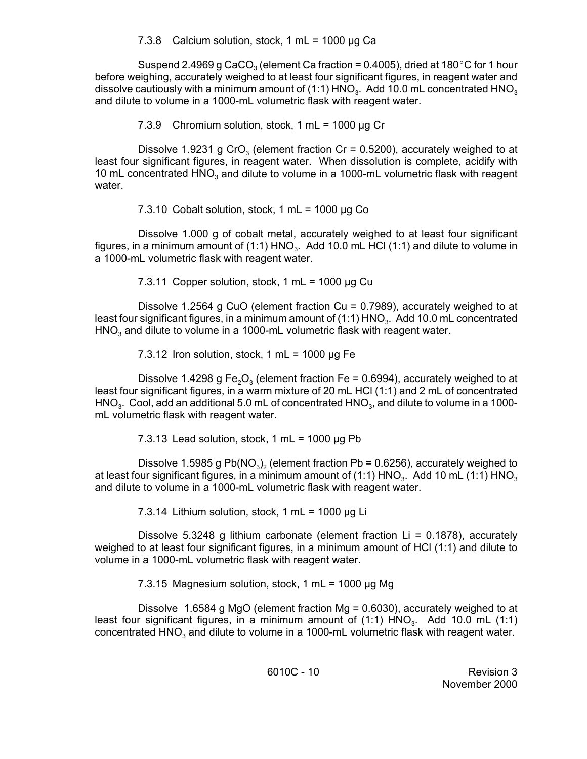## 7.3.8 Calcium solution, stock, 1 mL = 1000  $\mu$ g Ca

Suspend 2.4969 g CaCO<sub>3</sub> (element Ca fraction = 0.4005), dried at 180 $^{\circ}$ C for 1 hour before weighing, accurately weighed to at least four significant figures, in reagent water and dissolve cautiously with a minimum amount of (1:1)  $HNO<sub>3</sub>$ . Add 10.0 mL concentrated  $HNO<sub>3</sub>$ and dilute to volume in a 1000-mL volumetric flask with reagent water.

7.3.9 Chromium solution, stock,  $1 mL = 1000 \mu g$  Cr

Dissolve 1.9231 g CrO<sub>3</sub> (element fraction Cr = 0.5200), accurately weighed to at least four significant figures, in reagent water. When dissolution is complete, acidify with 10 mL concentrated  $HNO<sub>3</sub>$  and dilute to volume in a 1000-mL volumetric flask with reagent water.

7.3.10 Cobalt solution, stock, 1 mL =  $1000 \mu$ g Co

Dissolve 1.000 g of cobalt metal, accurately weighed to at least four significant figures, in a minimum amount of (1:1)  $HNO<sub>3</sub>$ . Add 10.0 mL HCl (1:1) and dilute to volume in a 1000-mL volumetric flask with reagent water.

7.3.11 Copper solution, stock, 1 mL =  $1000 \mu g$  Cu

 Dissolve 1.2564 g CuO (element fraction Cu = 0.7989), accurately weighed to at least four significant figures, in a minimum amount of (1:1) HNO<sub>3</sub>. Add 10.0 mL concentrated  $HNO<sub>3</sub>$  and dilute to volume in a 1000-mL volumetric flask with reagent water.

7.3.12 Iron solution, stock, 1 mL =  $1000 \mu$ g Fe

Dissolve 1.4298 g Fe<sub>2</sub>O<sub>3</sub> (element fraction Fe = 0.6994), accurately weighed to at least four significant figures, in a warm mixture of 20 mL HCl (1:1) and 2 mL of concentrated HNO<sub>3</sub>. Cool, add an additional 5.0 mL of concentrated HNO<sub>3</sub>, and dilute to volume in a 1000mL volumetric flask with reagent water.

7.3.13 Lead solution, stock, 1 mL =  $1000 \mu$ g Pb

Dissolve 1.5985 g Pb( $NO<sub>3</sub>$ )<sub>2</sub> (element fraction Pb = 0.6256), accurately weighed to at least four significant figures, in a minimum amount of (1:1)  $HNO<sub>3</sub>$ . Add 10 mL (1:1)  $HNO<sub>3</sub>$ and dilute to volume in a 1000-mL volumetric flask with reagent water.

7.3.14 Lithium solution, stock, 1 mL =  $1000 \mu g$  Li

 weighed to at least four significant figures, in a minimum amount of HCl (1:1) and dilute to Dissolve 5.3248 g lithium carbonate (element fraction Li = 0.1878), accurately volume in a 1000-mL volumetric flask with reagent water.

7.3.15 Magnesium solution, stock, 1 mL = 1000 µg Mg

Dissolve 1.6584 g MgO (element fraction Mg = 0.6030), accurately weighed to at least four significant figures, in a minimum amount of  $(1:1)$  HNO<sub>3</sub>. Add 10.0 mL  $(1:1)$ concentrated  $HNO<sub>3</sub>$  and dilute to volume in a 1000-mL volumetric flask with reagent water.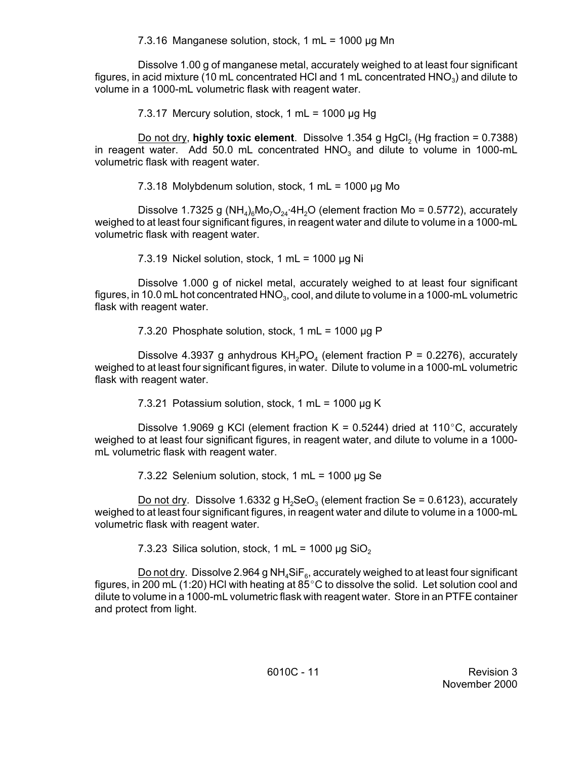7.3.16 Manganese solution, stock, 1 mL = 1000 µg Mn

Dissolve 1.00 g of manganese metal, accurately weighed to at least four significant figures, in acid mixture (10 mL concentrated HCl and 1 mL concentrated  $HNO<sub>3</sub>$ ) and dilute to volume in a 1000-mL volumetric flask with reagent water.

7.3.17 Mercury solution, stock, 1 mL = 1000  $\mu$ g Hg

Do not dry, **highly toxic element**. Dissolve 1.354 g HgCl<sub>2</sub> (Hg fraction = 0.7388) in reagent water. Add 50.0 mL concentrated  $HNO<sub>3</sub>$  and dilute to volume in 1000-mL volumetric flask with reagent water.

7.3.18 Molybdenum solution, stock, 1 mL = 1000 µg Mo

Dissolve 1.7325 g (NH<sub>4</sub>)<sub>6</sub>Mo<sub>7</sub>O<sub>24</sub>.4H<sub>2</sub>O (element fraction Mo = 0.5772), accurately weighed to at least four significant figures, in reagent water and dilute to volume in a 1000-mL volumetric flask with reagent water.

7.3.19 Nickel solution, stock, 1 mL =  $1000 \mu g$  Ni

Dissolve 1.000 g of nickel metal, accurately weighed to at least four significant figures, in 10.0 mL hot concentrated  $HNO<sub>3</sub>$ , cool, and dilute to volume in a 1000-mL volumetric flask with reagent water.

7.3.20 Phosphate solution, stock, 1 mL =  $1000 \mu$ g P

Dissolve 4.3937 g anhydrous  $KH<sub>2</sub>PO<sub>4</sub>$  (element fraction P = 0.2276), accurately weighed to at least four significant figures, in water. Dilute to volume in a 1000-mL volumetric flask with reagent water.

7.3.21 Potassium solution, stock, 1 mL = 1000  $\mu$ g K

Dissolve 1.9069 g KCl (element fraction  $K = 0.5244$ ) dried at 110°C, accurately weighed to at least four significant figures, in reagent water, and dilute to volume in a 1000 mL volumetric flask with reagent water.

7.3.22 Selenium solution, stock, 1 mL = 1000 µg Se

Do not dry. Dissolve 1.6332 g H<sub>2</sub>SeO<sub>3</sub> (element fraction Se = 0.6123), accurately weighed to at least four significant figures, in reagent water and dilute to volume in a 1000-mL volumetric flask with reagent water.

7.3.23 Silica solution, stock, 1 mL = 1000 µg SiO<sub>2</sub>

Do not dry. Dissolve 2.964 g NH<sub>4</sub>SiF<sub>6</sub>, accurately weighed to at least four significant figures, in 200 mL (1:20) HCl with heating at  $85^{\circ}$ C to dissolve the solid. Let solution cool and dilute to volume in a 1000-mL volumetric flask with reagent water. Store in an PTFE container and protect from light.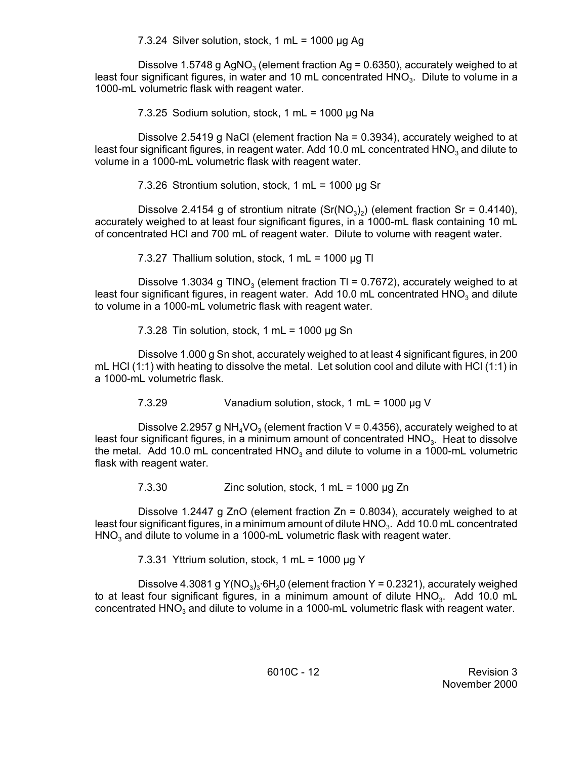7.3.24 Silver solution, stock, 1 mL = 1000  $\mu$ g Ag

Dissolve 1.5748 g AgNO<sub>3</sub> (element fraction Ag = 0.6350), accurately weighed to at least four significant figures, in water and 10 mL concentrated  $HNO<sub>3</sub>$ . Dilute to volume in a 1000-mL volumetric flask with reagent water.

7.3.25 Sodium solution, stock, 1 mL =  $1000 \mu q$  Na

 Dissolve 2.5419 g NaCl (element fraction Na = 0.3934), accurately weighed to at least four significant figures, in reagent water. Add 10.0 mL concentrated  $HNO<sub>3</sub>$  and dilute to volume in a 1000-mL volumetric flask with reagent water.

7.3.26 Strontium solution, stock, 1 mL =  $1000 \mu$ g Sr

Dissolve 2.4154 g of strontium nitrate ( $Sr(NO<sub>3</sub>)<sub>2</sub>$ ) (element fraction Sr = 0.4140), accurately weighed to at least four significant figures, in a 1000-mL flask containing 10 mL of concentrated HCl and 700 mL of reagent water. Dilute to volume with reagent water.

7.3.27 Thallium solution, stock, 1 mL =  $1000 \mu g$  Tl

Dissolve 1.3034 g TINO<sub>3</sub> (element fraction TI = 0.7672), accurately weighed to at least four significant figures, in reagent water. Add 10.0 mL concentrated  $HNO<sub>3</sub>$  and dilute to volume in a 1000-mL volumetric flask with reagent water.

7.3.28 Tin solution, stock, 1 mL =  $1000 \mu g$  Sn

Dissolve 1.000 g Sn shot, accurately weighed to at least 4 significant figures, in 200 mL HCl (1:1) with heating to dissolve the metal. Let solution cool and dilute with HCl (1:1) in a 1000-mL volumetric flask.

7.3.29 Vanadium solution, stock, 1 mL = 1000 µg V

Dissolve 2.2957 g NH<sub>4</sub>VO<sub>3</sub> (element fraction V = 0.4356), accurately weighed to at least four significant figures, in a minimum amount of concentrated HNO<sub>3</sub>. Heat to dissolve the metal. Add 10.0 mL concentrated  $HNO<sub>3</sub>$  and dilute to volume in a 1000-mL volumetric flask with reagent water.

7.3.30 Zinc solution, stock, 1 mL = 1000 µg Zn

Dissolve 1.2447 g ZnO (element fraction  $Zn = 0.8034$ ), accurately weighed to at least four significant figures, in a minimum amount of dilute HNO<sub>3</sub>. Add 10.0 mL concentrated HNO<sub>3</sub> and dilute to volume in a 1000-mL volumetric flask with reagent water.

7.3.31 Yttrium solution, stock, 1 mL =  $1000 \mu g$  Y

Dissolve 4.3081 g  $Y(NO<sub>3</sub>)<sub>3</sub>·6H<sub>2</sub>O$  (element fraction Y = 0.2321), accurately weighed to at least four significant figures, in a minimum amount of dilute  $HNO<sub>3</sub>$ . Add 10.0 mL concentrated  $HNO<sub>3</sub>$  and dilute to volume in a 1000-mL volumetric flask with reagent water.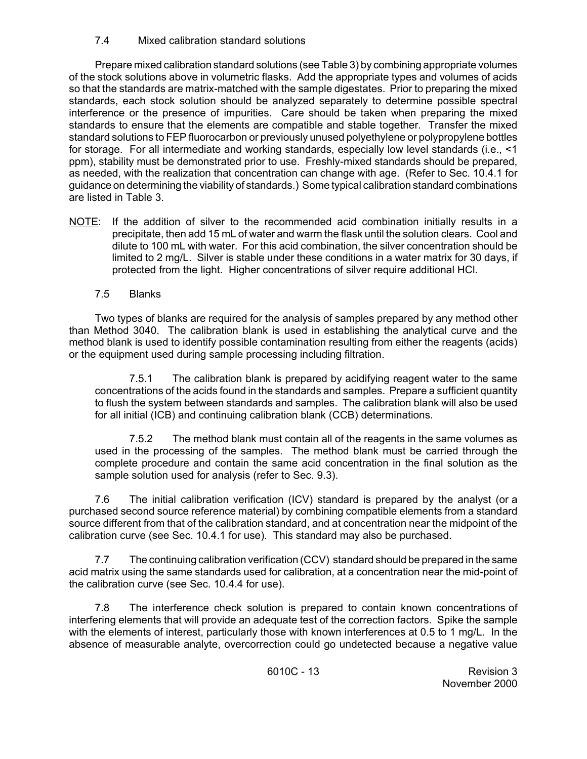7.4 Mixed calibration standard solutions

Prepare mixed calibration standard solutions (see Table 3) by combining appropriate volumes of the stock solutions above in volumetric flasks. Add the appropriate types and volumes of acids so that the standards are matrix-matched with the sample digestates. Prior to preparing the mixed standards, each stock solution should be analyzed separately to determine possible spectral interference or the presence of impurities. Care should be taken when preparing the mixed standards to ensure that the elements are compatible and stable together. Transfer the mixed standard solutions to FEP fluorocarbon or previously unused polyethylene or polypropylene bottles for storage. For all intermediate and working standards, especially low level standards (i.e., <1 ppm), stability must be demonstrated prior to use. Freshly-mixed standards should be prepared, as needed, with the realization that concentration can change with age. (Refer to Sec. 10.4.1 for guidance on determining the viability of standards.) Some typical calibration standard combinations are listed in Table 3.

- NOTE: If the addition of silver to the recommended acid combination initially results in a precipitate, then add 15 mL of water and warm the flask until the solution clears. Cool and dilute to 100 mL with water. For this acid combination, the silver concentration should be limited to 2 mg/L. Silver is stable under these conditions in a water matrix for 30 days, if protected from the light. Higher concentrations of silver require additional HCl.
	- 7.5 Blanks

 than Method 3040. The calibration blank is used in establishing the analytical curve and the Two types of blanks are required for the analysis of samples prepared by any method other method blank is used to identify possible contamination resulting from either the reagents (acids) or the equipment used during sample processing including filtration.

7.5.1 The calibration blank is prepared by acidifying reagent water to the same concentrations of the acids found in the standards and samples. Prepare a sufficient quantity to flush the system between standards and samples. The calibration blank will also be used for all initial (ICB) and continuing calibration blank (CCB) determinations.

7.5.2 The method blank must contain all of the reagents in the same volumes as used in the processing of the samples. The method blank must be carried through the complete procedure and contain the same acid concentration in the final solution as the sample solution used for analysis (refer to Sec. 9.3).

7.6 The initial calibration verification (ICV) standard is prepared by the analyst (or a purchased second source reference material) by combining compatible elements from a standard source different from that of the calibration standard, and at concentration near the midpoint of the calibration curve (see Sec. 10.4.1 for use). This standard may also be purchased.

7.7 The continuing calibration verification (CCV) standard should be prepared in the same acid matrix using the same standards used for calibration, at a concentration near the mid-point of the calibration curve (see Sec. 10.4.4 for use).

 7.8 The interference check solution is prepared to contain known concentrations of interfering elements that will provide an adequate test of the correction factors. Spike the sample with the elements of interest, particularly those with known interferences at 0.5 to 1 mg/L. In the absence of measurable analyte, overcorrection could go undetected because a negative value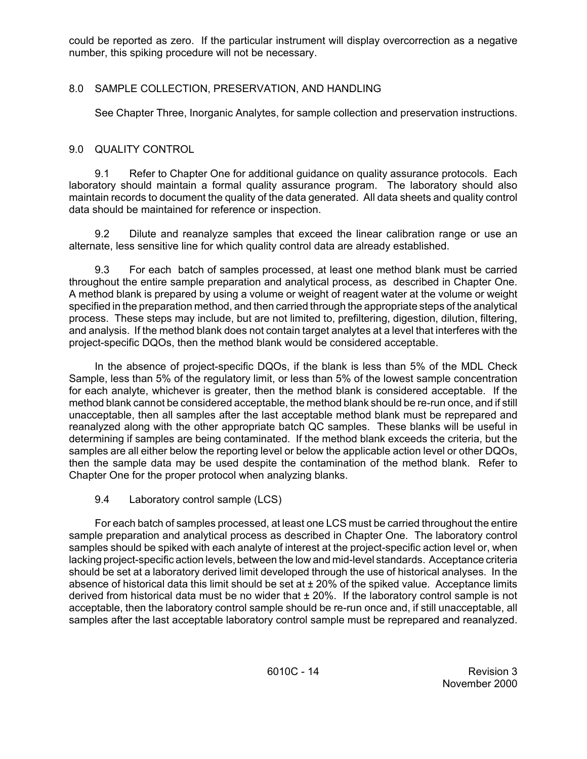could be reported as zero. If the particular instrument will display overcorrection as a negative number, this spiking procedure will not be necessary.

# 8.0 SAMPLE COLLECTION, PRESERVATION, AND HANDLING

See Chapter Three, Inorganic Analytes, for sample collection and preservation instructions.

# 9.0 QUALITY CONTROL

9.1 Refer to Chapter One for additional guidance on quality assurance protocols. Each laboratory should maintain a formal quality assurance program. The laboratory should also maintain records to document the quality of the data generated. All data sheets and quality control data should be maintained for reference or inspection.

9.2 Dilute and reanalyze samples that exceed the linear calibration range or use an alternate, less sensitive line for which quality control data are already established.

 9.3 For each batch of samples processed, at least one method blank must be carried throughout the entire sample preparation and analytical process, as described in Chapter One. A method blank is prepared by using a volume or weight of reagent water at the volume or weight specified in the preparation method, and then carried through the appropriate steps of the analytical process. These steps may include, but are not limited to, prefiltering, digestion, dilution, filtering, and analysis. If the method blank does not contain target analytes at a level that interferes with the project-specific DQOs, then the method blank would be considered acceptable.

 In the absence of project-specific DQOs, if the blank is less than 5% of the MDL Check Sample, less than 5% of the regulatory limit, or less than 5% of the lowest sample concentration for each analyte, whichever is greater, then the method blank is considered acceptable. If the method blank cannot be considered acceptable, the method blank should be re-run once, and if still unacceptable, then all samples after the last acceptable method blank must be reprepared and reanalyzed along with the other appropriate batch QC samples. These blanks will be useful in determining if samples are being contaminated. If the method blank exceeds the criteria, but the samples are all either below the reporting level or below the applicable action level or other DQOs, then the sample data may be used despite the contamination of the method blank. Refer to Chapter One for the proper protocol when analyzing blanks.

9.4 Laboratory control sample (LCS)

For each batch of samples processed, at least one LCS must be carried throughout the entire sample preparation and analytical process as described in Chapter One. The laboratory control samples should be spiked with each analyte of interest at the project-specific action level or, when lacking project-specific action levels, between the low and mid-level standards. Acceptance criteria should be set at a laboratory derived limit developed through the use of historical analyses. In the absence of historical data this limit should be set at  $\pm$  20% of the spiked value. Acceptance limits derived from historical data must be no wider that  $\pm 20\%$ . If the laboratory control sample is not acceptable, then the laboratory control sample should be re-run once and, if still unacceptable, all samples after the last acceptable laboratory control sample must be reprepared and reanalyzed.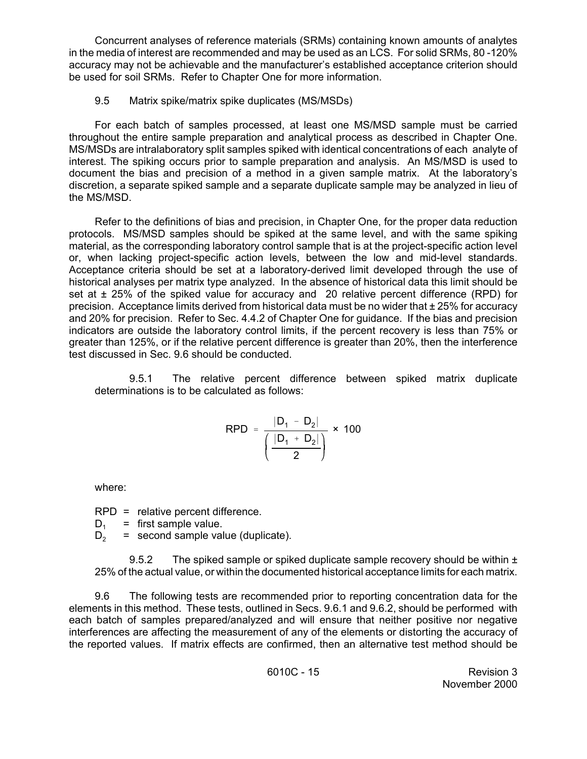Concurrent analyses of reference materials (SRMs) containing known amounts of analytes in the media of interest are recommended and may be used as an LCS. For solid SRMs, 80 -120% accuracy may not be achievable and the manufacturer's established acceptance criterion should be used for soil SRMs. Refer to Chapter One for more information.

# 9.5 Matrix spike/matrix spike duplicates (MS/MSDs)

For each batch of samples processed, at least one MS/MSD sample must be carried throughout the entire sample preparation and analytical process as described in Chapter One. MS/MSDs are intralaboratory split samples spiked with identical concentrations of each analyte of interest. The spiking occurs prior to sample preparation and analysis. An MS/MSD is used to document the bias and precision of a method in a given sample matrix. At the laboratory's discretion, a separate spiked sample and a separate duplicate sample may be analyzed in lieu of the MS/MSD.

 protocols. MS/MSD samples should be spiked at the same level, and with the same spiking set at  $\pm$  25% of the spiked value for accuracy and 20 relative percent difference (RPD) for Refer to the definitions of bias and precision, in Chapter One, for the proper data reduction material, as the corresponding laboratory control sample that is at the project-specific action level or, when lacking project-specific action levels, between the low and mid-level standards. Acceptance criteria should be set at a laboratory-derived limit developed through the use of historical analyses per matrix type analyzed. In the absence of historical data this limit should be precision. Acceptance limits derived from historical data must be no wider that  $\pm 25\%$  for accuracy and 20% for precision. Refer to Sec. 4.4.2 of Chapter One for guidance. If the bias and precision indicators are outside the laboratory control limits, if the percent recovery is less than 75% or greater than 125%, or if the relative percent difference is greater than 20%, then the interference test discussed in Sec. 9.6 should be conducted.

9.5.1 The relative percent difference between spiked matrix duplicate determinations is to be calculated as follows:

$$
RPD = \frac{|D_1 - D_2|}{\left(\frac{|D_1 + D_2|}{2}\right)} \times 100
$$

where:

RPD = relative percent difference.

 $D_1$  = first sample value.

 $D_2$  = second sample value (duplicate).

9.5.2 The spiked sample or spiked duplicate sample recovery should be within  $\pm$ 25% of the actual value, or within the documented historical acceptance limits for each matrix.

9.6 The following tests are recommended prior to reporting concentration data for the elements in this method. These tests, outlined in Secs. 9.6.1 and 9.6.2, should be performed with each batch of samples prepared/analyzed and will ensure that neither positive nor negative interferences are affecting the measurement of any of the elements or distorting the accuracy of the reported values. If matrix effects are confirmed, then an alternative test method should be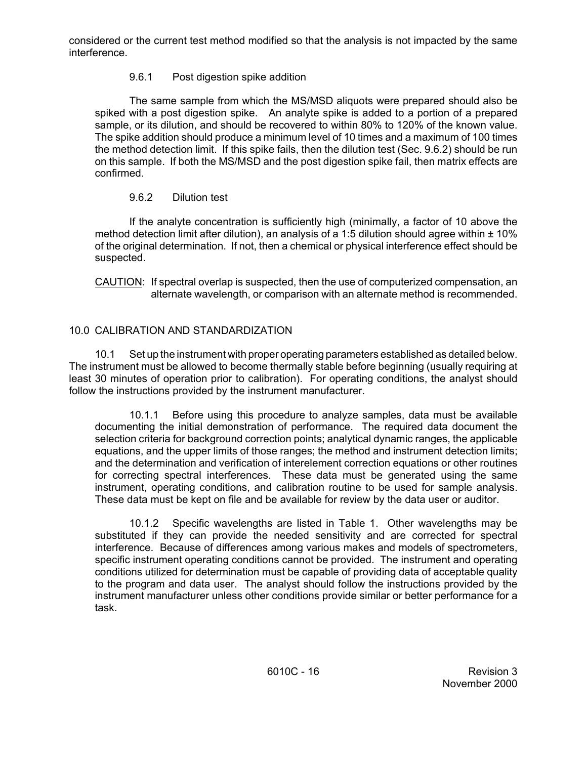considered or the current test method modified so that the analysis is not impacted by the same interference.

# 9.6.1 Post digestion spike addition

The same sample from which the MS/MSD aliquots were prepared should also be spiked with a post digestion spike. An analyte spike is added to a portion of a prepared sample, or its dilution, and should be recovered to within 80% to 120% of the known value. The spike addition should produce a minimum level of 10 times and a maximum of 100 times the method detection limit. If this spike fails, then the dilution test (Sec. 9.6.2) should be run on this sample. If both the MS/MSD and the post digestion spike fail, then matrix effects are confirmed.

# 9.6.2 Dilution test

If the analyte concentration is sufficiently high (minimally, a factor of 10 above the method detection limit after dilution), an analysis of a 1:5 dilution should agree within  $\pm$  10% of the original determination. If not, then a chemical or physical interference effect should be suspected.

CAUTION: If spectral overlap is suspected, then the use of computerized compensation, an alternate wavelength, or comparison with an alternate method is recommended.

# 10.0 CALIBRATION AND STANDARDIZATION

10.1 Set up the instrument with proper operating parameters established as detailed below. The instrument must be allowed to become thermally stable before beginning (usually requiring at least 30 minutes of operation prior to calibration). For operating conditions, the analyst should follow the instructions provided by the instrument manufacturer.

 10.1.1 Before using this procedure to analyze samples, data must be available documenting the initial demonstration of performance. The required data document the selection criteria for background correction points; analytical dynamic ranges, the applicable equations, and the upper limits of those ranges; the method and instrument detection limits; and the determination and verification of interelement correction equations or other routines for correcting spectral interferences. These data must be generated using the same instrument, operating conditions, and calibration routine to be used for sample analysis. These data must be kept on file and be available for review by the data user or auditor.

10.1.2 Specific wavelengths are listed in Table 1. Other wavelengths may be substituted if they can provide the needed sensitivity and are corrected for spectral interference. Because of differences among various makes and models of spectrometers, specific instrument operating conditions cannot be provided. The instrument and operating conditions utilized for determination must be capable of providing data of acceptable quality to the program and data user. The analyst should follow the instructions provided by the instrument manufacturer unless other conditions provide similar or better performance for a task.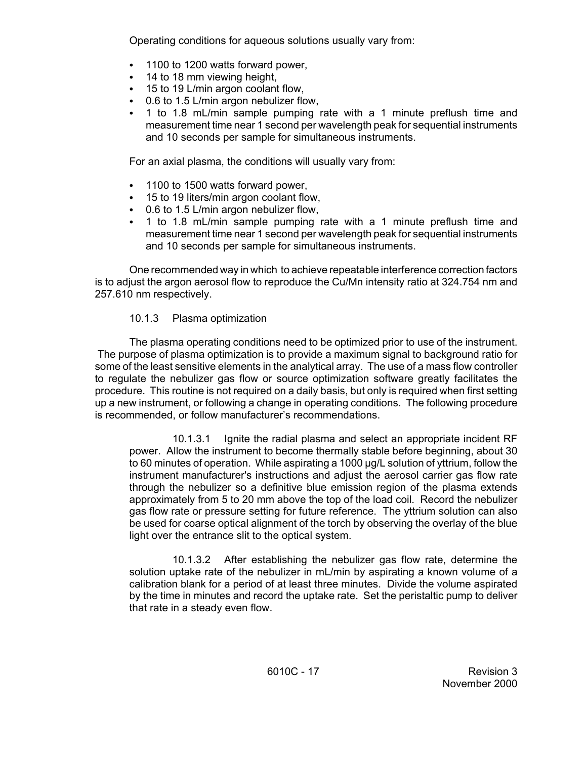Operating conditions for aqueous solutions usually vary from:

- 1100 to 1200 watts forward power,
- $\cdot$  14 to 18 mm viewing height,
- 15 to 19 L/min argon coolant flow,
- 0.6 to 1.5 L/min argon nebulizer flow,
- C 1 to 1.8 mL/min sample pumping rate with a 1 minute preflush time and measurement time near 1 second per wavelength peak for sequential instruments and 10 seconds per sample for simultaneous instruments.

For an axial plasma, the conditions will usually vary from:

- 1100 to 1500 watts forward power,
- 15 to 19 liters/min argon coolant flow,
- $\bullet$  0.6 to 1.5 L/min argon nebulizer flow,
- C 1 to 1.8 mL/min sample pumping rate with a 1 minute preflush time and measurement time near 1 second per wavelength peak for sequential instruments and 10 seconds per sample for simultaneous instruments.

One recommended way in which to achieve repeatable interference correction factors is to adjust the argon aerosol flow to reproduce the Cu/Mn intensity ratio at 324.754 nm and 257.610 nm respectively.

#### 10.1.3 Plasma optimization

The plasma operating conditions need to be optimized prior to use of the instrument. The purpose of plasma optimization is to provide a maximum signal to background ratio for some of the least sensitive elements in the analytical array. The use of a mass flow controller to regulate the nebulizer gas flow or source optimization software greatly facilitates the procedure. This routine is not required on a daily basis, but only is required when first setting up a new instrument, or following a change in operating conditions. The following procedure is recommended, or follow manufacturer's recommendations.

10.1.3.1 Ignite the radial plasma and select an appropriate incident RF power. Allow the instrument to become thermally stable before beginning, about 30 to 60 minutes of operation. While aspirating a 1000 µg/L solution of yttrium, follow the instrument manufacturer's instructions and adjust the aerosol carrier gas flow rate through the nebulizer so a definitive blue emission region of the plasma extends approximately from 5 to 20 mm above the top of the load coil. Record the nebulizer gas flow rate or pressure setting for future reference. The yttrium solution can also be used for coarse optical alignment of the torch by observing the overlay of the blue light over the entrance slit to the optical system.

10.1.3.2 After establishing the nebulizer gas flow rate, determine the solution uptake rate of the nebulizer in mL/min by aspirating a known volume of a calibration blank for a period of at least three minutes. Divide the volume aspirated by the time in minutes and record the uptake rate. Set the peristaltic pump to deliver that rate in a steady even flow.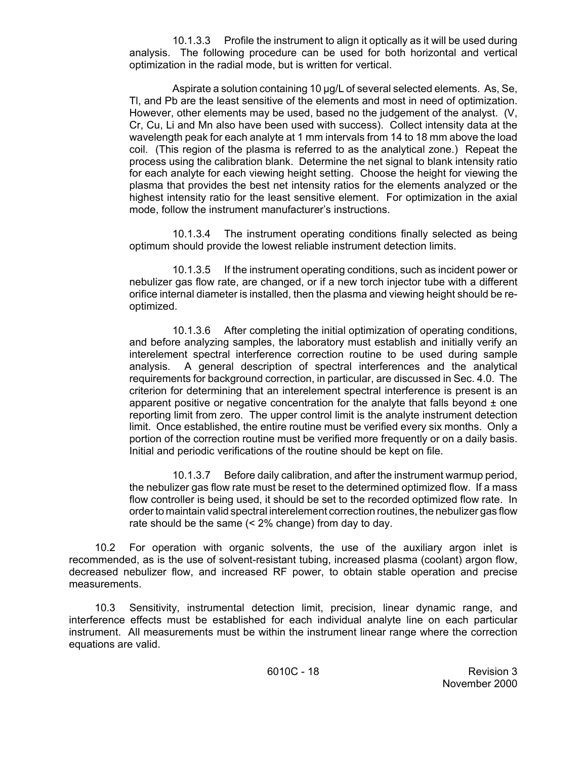10.1.3.3 Profile the instrument to align it optically as it will be used during analysis. The following procedure can be used for both horizontal and vertical optimization in the radial mode, but is written for vertical.

Aspirate a solution containing 10 µg/L of several selected elements. As, Se, Tl, and Pb are the least sensitive of the elements and most in need of optimization. However, other elements may be used, based no the judgement of the analyst. (V, Cr, Cu, Li and Mn also have been used with success). Collect intensity data at the wavelength peak for each analyte at 1 mm intervals from 14 to 18 mm above the load coil. (This region of the plasma is referred to as the analytical zone.) Repeat the process using the calibration blank. Determine the net signal to blank intensity ratio for each analyte for each viewing height setting. Choose the height for viewing the plasma that provides the best net intensity ratios for the elements analyzed or the highest intensity ratio for the least sensitive element. For optimization in the axial mode, follow the instrument manufacturer's instructions.

10.1.3.4 The instrument operating conditions finally selected as being optimum should provide the lowest reliable instrument detection limits.

10.1.3.5 If the instrument operating conditions, such as incident power or nebulizer gas flow rate, are changed, or if a new torch injector tube with a different orifice internal diameter is installed, then the plasma and viewing height should be reoptimized.

 reporting limit from zero. The upper control limit is the analyte instrument detection 10.1.3.6 After completing the initial optimization of operating conditions, and before analyzing samples, the laboratory must establish and initially verify an interelement spectral interference correction routine to be used during sample analysis. A general description of spectral interferences and the analytical requirements for background correction, in particular, are discussed in Sec. 4.0. The criterion for determining that an interelement spectral interference is present is an apparent positive or negative concentration for the analyte that falls beyond  $\pm$  one limit. Once established, the entire routine must be verified every six months. Only a portion of the correction routine must be verified more frequently or on a daily basis. Initial and periodic verifications of the routine should be kept on file.

10.1.3.7 Before daily calibration, and after the instrument warmup period, the nebulizer gas flow rate must be reset to the determined optimized flow. If a mass flow controller is being used, it should be set to the recorded optimized flow rate. In order to maintain valid spectral interelement correction routines, the nebulizer gas flow rate should be the same (< 2% change) from day to day.

10.2 For operation with organic solvents, the use of the auxiliary argon inlet is recommended, as is the use of solvent-resistant tubing, increased plasma (coolant) argon flow, decreased nebulizer flow, and increased RF power, to obtain stable operation and precise measurements.

 instrument. All measurements must be within the instrument linear range where the correction 10.3 Sensitivity, instrumental detection limit, precision, linear dynamic range, and interference effects must be established for each individual analyte line on each particular equations are valid.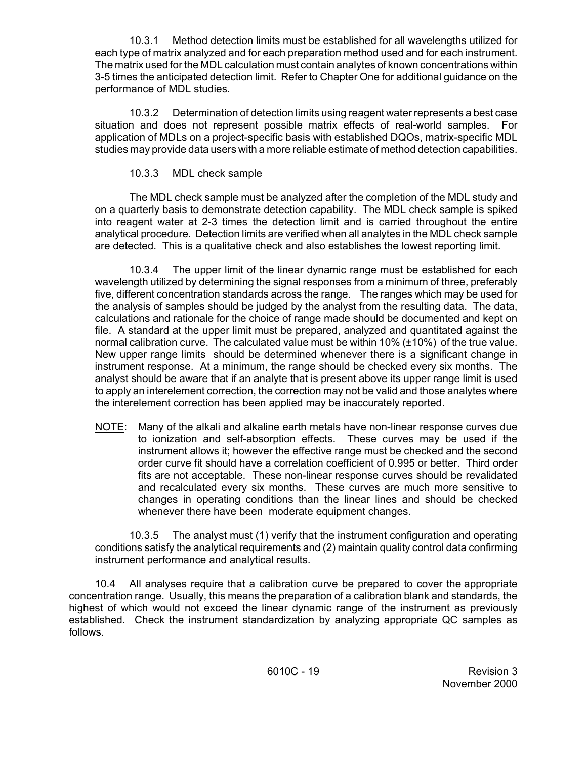10.3.1 Method detection limits must be established for all wavelengths utilized for each type of matrix analyzed and for each preparation method used and for each instrument. The matrix used for the MDL calculation must contain analytes of known concentrations within 3-5 times the anticipated detection limit. Refer to Chapter One for additional guidance on the performance of MDL studies.

10.3.2 Determination of detection limits using reagent water represents a best case situation and does not represent possible matrix effects of real-world samples. For application of MDLs on a project-specific basis with established DQOs, matrix-specific MDL studies may provide data users with a more reliable estimate of method detection capabilities.

## 10.3.3 MDL check sample

The MDL check sample must be analyzed after the completion of the MDL study and on a quarterly basis to demonstrate detection capability. The MDL check sample is spiked into reagent water at 2-3 times the detection limit and is carried throughout the entire analytical procedure. Detection limits are verified when all analytes in the MDL check sample are detected. This is a qualitative check and also establishes the lowest reporting limit.

 five, different concentration standards across the range. The ranges which may be used for 10.3.4 The upper limit of the linear dynamic range must be established for each wavelength utilized by determining the signal responses from a minimum of three, preferably the analysis of samples should be judged by the analyst from the resulting data. The data, calculations and rationale for the choice of range made should be documented and kept on file. A standard at the upper limit must be prepared, analyzed and quantitated against the normal calibration curve. The calculated value must be within 10% (±10%) of the true value. New upper range limits should be determined whenever there is a significant change in instrument response. At a minimum, the range should be checked every six months. The analyst should be aware that if an analyte that is present above its upper range limit is used to apply an interelement correction, the correction may not be valid and those analytes where the interelement correction has been applied may be inaccurately reported.

NOTE: Many of the alkali and alkaline earth metals have non-linear response curves due to ionization and self-absorption effects. These curves may be used if the instrument allows it; however the effective range must be checked and the second order curve fit should have a correlation coefficient of 0.995 or better. Third order fits are not acceptable. These non-linear response curves should be revalidated and recalculated every six months. These curves are much more sensitive to changes in operating conditions than the linear lines and should be checked whenever there have been moderate equipment changes.

10.3.5 The analyst must (1) verify that the instrument configuration and operating conditions satisfy the analytical requirements and (2) maintain quality control data confirming instrument performance and analytical results.

 10.4 All analyses require that a calibration curve be prepared to cover the appropriate concentration range. Usually, this means the preparation of a calibration blank and standards, the highest of which would not exceed the linear dynamic range of the instrument as previously established. Check the instrument standardization by analyzing appropriate QC samples as follows.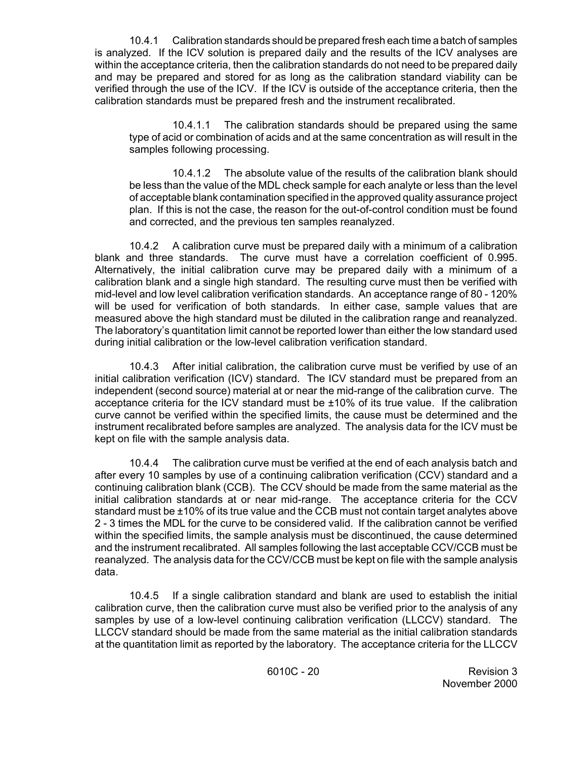10.4.1 Calibration standards should be prepared fresh each time a batch of samples is analyzed. If the ICV solution is prepared daily and the results of the ICV analyses are within the acceptance criteria, then the calibration standards do not need to be prepared daily and may be prepared and stored for as long as the calibration standard viability can be verified through the use of the ICV. If the ICV is outside of the acceptance criteria, then the calibration standards must be prepared fresh and the instrument recalibrated.

10.4.1.1 The calibration standards should be prepared using the same type of acid or combination of acids and at the same concentration as will result in the samples following processing.

10.4.1.2 The absolute value of the results of the calibration blank should be less than the value of the MDL check sample for each analyte or less than the level of acceptable blank contamination specified in the approved quality assurance project plan. If this is not the case, the reason for the out-of-control condition must be found and corrected, and the previous ten samples reanalyzed.

10.4.2 A calibration curve must be prepared daily with a minimum of a calibration blank and three standards. The curve must have a correlation coefficient of 0.995. Alternatively, the initial calibration curve may be prepared daily with a minimum of a calibration blank and a single high standard. The resulting curve must then be verified with mid-level and low level calibration verification standards. An acceptance range of 80 - 120% will be used for verification of both standards. In either case, sample values that are measured above the high standard must be diluted in the calibration range and reanalyzed. The laboratory's quantitation limit cannot be reported lower than either the low standard used during initial calibration or the low-level calibration verification standard.

 acceptance criteria for the ICV standard must be ±10% of its true value. If the calibration 10.4.3 After initial calibration, the calibration curve must be verified by use of an initial calibration verification (ICV) standard. The ICV standard must be prepared from an independent (second source) material at or near the mid-range of the calibration curve. The curve cannot be verified within the specified limits, the cause must be determined and the instrument recalibrated before samples are analyzed. The analysis data for the ICV must be kept on file with the sample analysis data.

10.4.4 The calibration curve must be verified at the end of each analysis batch and after every 10 samples by use of a continuing calibration verification (CCV) standard and a continuing calibration blank (CCB). The CCV should be made from the same material as the initial calibration standards at or near mid-range. The acceptance criteria for the CCV standard must be ±10% of its true value and the CCB must not contain target analytes above 2 - 3 times the MDL for the curve to be considered valid. If the calibration cannot be verified within the specified limits, the sample analysis must be discontinued, the cause determined and the instrument recalibrated. All samples following the last acceptable CCV/CCB must be reanalyzed. The analysis data for the CCV/CCB must be kept on file with the sample analysis data.

10.4.5 If a single calibration standard and blank are used to establish the initial calibration curve, then the calibration curve must also be verified prior to the analysis of any samples by use of a low-level continuing calibration verification (LLCCV) standard. The LLCCV standard should be made from the same material as the initial calibration standards at the quantitation limit as reported by the laboratory. The acceptance criteria for the LLCCV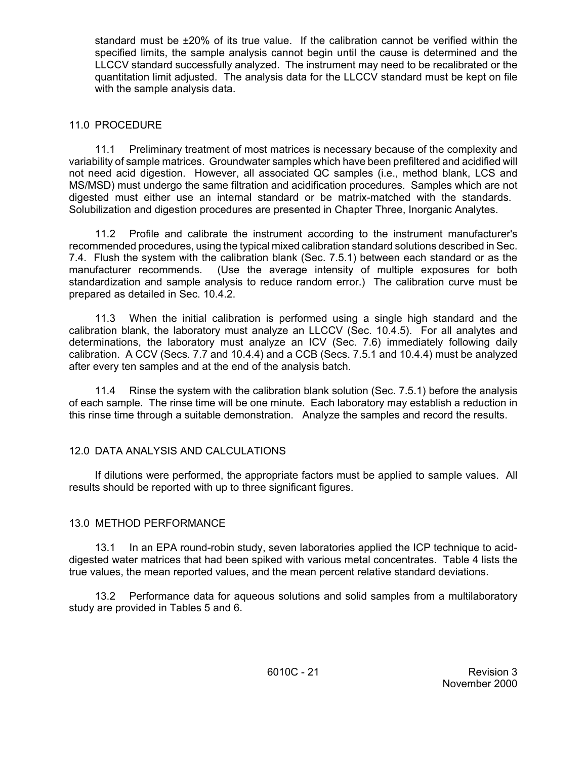standard must be ±20% of its true value. If the calibration cannot be verified within the specified limits, the sample analysis cannot begin until the cause is determined and the LLCCV standard successfully analyzed. The instrument may need to be recalibrated or the quantitation limit adjusted. The analysis data for the LLCCV standard must be kept on file with the sample analysis data.

## 11.0 PROCEDURE

11.1 Preliminary treatment of most matrices is necessary because of the complexity and variability of sample matrices. Groundwater samples which have been prefiltered and acidified will not need acid digestion. However, all associated QC samples (i.e., method blank, LCS and MS/MSD) must undergo the same filtration and acidification procedures. Samples which are not digested must either use an internal standard or be matrix-matched with the standards. Solubilization and digestion procedures are presented in Chapter Three, Inorganic Analytes.

 7.4. Flush the system with the calibration blank (Sec. 7.5.1) between each standard or as the 11.2 Profile and calibrate the instrument according to the instrument manufacturer's recommended procedures, using the typical mixed calibration standard solutions described in Sec. manufacturer recommends. (Use the average intensity of multiple exposures for both standardization and sample analysis to reduce random error.) The calibration curve must be prepared as detailed in Sec. 10.4.2.

11.3 When the initial calibration is performed using a single high standard and the calibration blank, the laboratory must analyze an LLCCV (Sec. 10.4.5). For all analytes and determinations, the laboratory must analyze an ICV (Sec. 7.6) immediately following daily calibration. A CCV (Secs. 7.7 and 10.4.4) and a CCB (Secs. 7.5.1 and 10.4.4) must be analyzed after every ten samples and at the end of the analysis batch.

11.4 Rinse the system with the calibration blank solution (Sec. 7.5.1) before the analysis of each sample. The rinse time will be one minute. Each laboratory may establish a reduction in this rinse time through a suitable demonstration. Analyze the samples and record the results.

# 12.0 DATA ANALYSIS AND CALCULATIONS

 If dilutions were performed, the appropriate factors must be applied to sample values. All results should be reported with up to three significant figures.

# 13.0 METHOD PERFORMANCE

13.1 In an EPA round-robin study, seven laboratories applied the ICP technique to aciddigested water matrices that had been spiked with various metal concentrates. Table 4 lists the true values, the mean reported values, and the mean percent relative standard deviations.

13.2 Performance data for aqueous solutions and solid samples from a multilaboratory study are provided in Tables 5 and 6.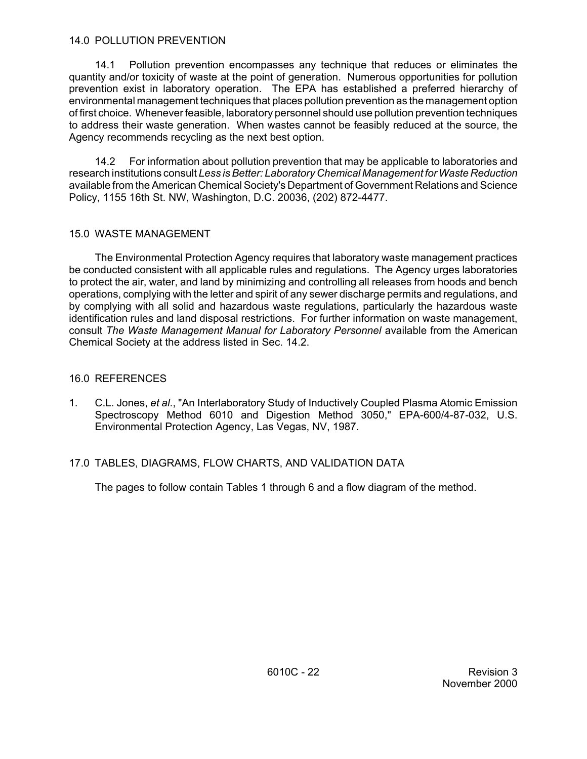#### 14.0 POLLUTION PREVENTION

14.1 Pollution prevention encompasses any technique that reduces or eliminates the quantity and/or toxicity of waste at the point of generation. Numerous opportunities for pollution prevention exist in laboratory operation. The EPA has established a preferred hierarchy of environmental management techniques that places pollution prevention as the management option of first choice. Whenever feasible, laboratory personnel should use pollution prevention techniques to address their waste generation. When wastes cannot be feasibly reduced at the source, the Agency recommends recycling as the next best option.

14.2 For information about pollution prevention that may be applicable to laboratories and research institutions consult *Less is Better: Laboratory Chemical Management for Waste Reduction*  available from the American Chemical Society's Department of Government Relations and Science Policy, 1155 16th St. NW, Washington, D.C. 20036, (202) 872-4477.

## 15.0 WASTE MANAGEMENT

The Environmental Protection Agency requires that laboratory waste management practices be conducted consistent with all applicable rules and regulations. The Agency urges laboratories to protect the air, water, and land by minimizing and controlling all releases from hoods and bench operations, complying with the letter and spirit of any sewer discharge permits and regulations, and by complying with all solid and hazardous waste regulations, particularly the hazardous waste identification rules and land disposal restrictions. For further information on waste management, consult *The Waste Management Manual for Laboratory Personnel* available from the American Chemical Society at the address listed in Sec. 14.2.

# 16.0 REFERENCES

1. C.L. Jones, *et al*., "An Interlaboratory Study of Inductively Coupled Plasma Atomic Emission Spectroscopy Method 6010 and Digestion Method 3050," EPA-600/4-87-032, U.S. Environmental Protection Agency, Las Vegas, NV, 1987.

# 17.0 TABLES, DIAGRAMS, FLOW CHARTS, AND VALIDATION DATA

The pages to follow contain Tables 1 through 6 and a flow diagram of the method.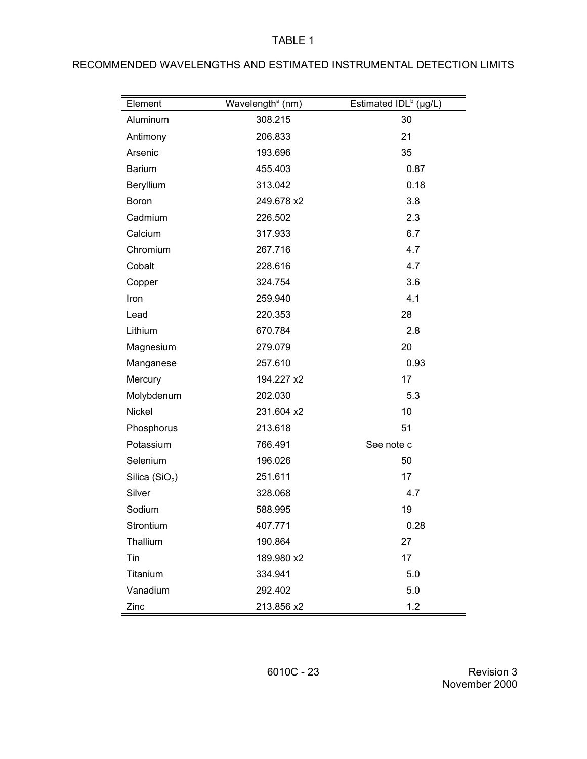|  |  |  |  |  | RECOMMENDED WAVELENGTHS AND ESTIMATED INSTRUMENTAL DETECTION LIMITS |
|--|--|--|--|--|---------------------------------------------------------------------|
|--|--|--|--|--|---------------------------------------------------------------------|

| Element                    | Wavelength <sup>ª</sup> (nm) | Estimated $IDL^b$ (µg/L) |
|----------------------------|------------------------------|--------------------------|
| Aluminum                   | 308.215                      | 30                       |
| Antimony                   | 206.833                      | 21                       |
| Arsenic                    | 193.696                      | 35                       |
| <b>Barium</b>              | 455.403                      | 0.87                     |
| Beryllium                  | 313.042                      | 0.18                     |
| <b>Boron</b>               | 249.678 x2                   | 3.8                      |
| Cadmium                    | 226.502                      | 2.3                      |
| Calcium                    | 317.933                      | 6.7                      |
| Chromium                   | 267.716                      | 4.7                      |
| Cobalt                     | 228.616                      | 4.7                      |
| Copper                     | 324.754                      | 3.6                      |
| Iron                       | 259.940                      | 4.1                      |
| Lead                       | 220.353                      | 28                       |
| Lithium                    | 670.784                      | 2.8                      |
| Magnesium                  | 279.079                      | 20                       |
| Manganese                  | 257.610                      | 0.93                     |
| Mercury                    | 194.227 x2                   | 17                       |
| Molybdenum                 | 202.030                      | 5.3                      |
| Nickel                     | 231.604 x2                   | 10                       |
| Phosphorus                 | 213.618                      | 51                       |
| Potassium                  | 766.491                      | See note c               |
| Selenium                   | 196.026                      | 50                       |
| Silica (SiO <sub>2</sub> ) | 251.611                      | 17                       |
| Silver                     | 328.068                      | 4.7                      |
| Sodium                     | 588.995                      | 19                       |
| Strontium                  | 407.771                      | 0.28                     |
| Thallium                   | 190.864                      | 27                       |
| Tin                        | 189.980 x2                   | 17                       |
| Titanium                   | 334.941                      | 5.0                      |
| Vanadium                   | 292.402                      | 5.0                      |
| Zinc                       | 213.856 x2                   | 1.2                      |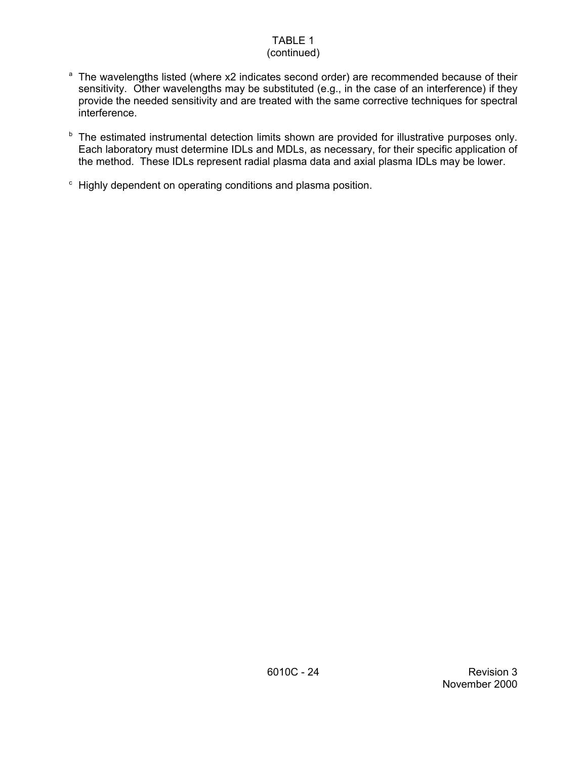# (continued)

- <sup>a</sup> The wavelengths listed (where x2 indicates second order) are recommended because of their sensitivity. Other wavelengths may be substituted (e.g., in the case of an interference) if they provide the needed sensitivity and are treated with the same corrective techniques for spectral interference.
- **b** The estimated instrumental detection limits shown are provided for illustrative purposes only. Each laboratory must determine IDLs and MDLs, as necessary, for their specific application of the method. These IDLs represent radial plasma data and axial plasma IDLs may be lower.
- $\epsilon$  Highly dependent on operating conditions and plasma position.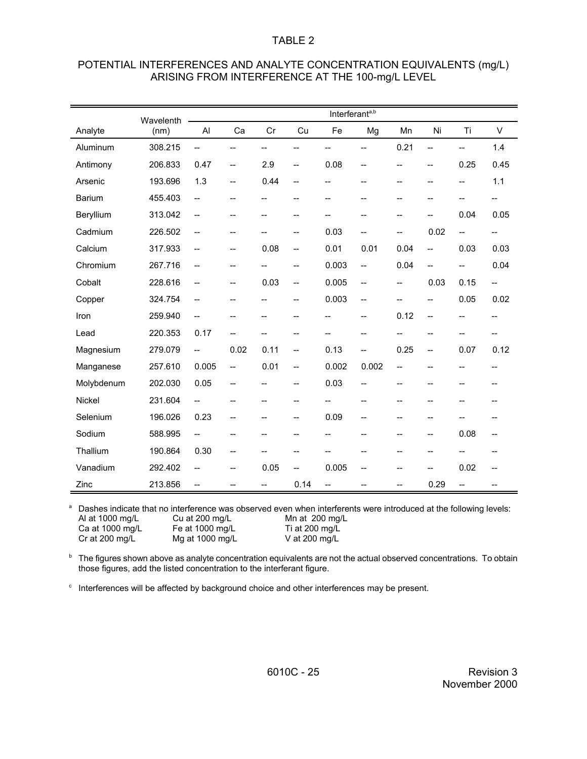| POTENTIAL INTERFERENCES AND ANALYTE CONCENTRATION EQUIVALENTS (mg/L) |
|----------------------------------------------------------------------|
| ARISING FROM INTERFERENCE AT THE 100-mg/L LEVEL                      |

|               | Wavelenth |                          |                          |                          |                          | Interferant <sup>a,b</sup> |                          |                |                |                |                          |
|---------------|-----------|--------------------------|--------------------------|--------------------------|--------------------------|----------------------------|--------------------------|----------------|----------------|----------------|--------------------------|
| Analyte       | (nm)      | AI                       | Ca                       | Cr                       | Cu                       | Fe                         | Mg                       | Mn             | Ni             | Ti             | V                        |
| Aluminum      | 308.215   | $\overline{a}$           | --                       | --                       | --                       | --                         | -−                       | 0.21           | $\overline{a}$ | --             | 1.4                      |
| Antimony      | 206.833   | 0.47                     | $\overline{\phantom{a}}$ | 2.9                      | $\overline{\phantom{a}}$ | 0.08                       | $-$                      | $-$            | $-$            | 0.25           | 0.45                     |
| Arsenic       | 193.696   | 1.3                      | $\overline{\phantom{a}}$ | 0.44                     | $-$                      | $\overline{a}$             | $\overline{\phantom{a}}$ | $\overline{a}$ | --             | $-$            | 1.1                      |
| <b>Barium</b> | 455.403   | $-$                      | $-$                      | $\overline{\phantom{a}}$ | $- -$                    | --                         | --                       | $\overline{a}$ | --             | --             | $\overline{\phantom{a}}$ |
| Beryllium     | 313.042   | $-$                      | --                       | --                       | --                       |                            | --                       | $-$            | --             | 0.04           | 0.05                     |
| Cadmium       | 226.502   | --                       | --                       | --                       | --                       | 0.03                       | --                       | --             | 0.02           | $\overline{a}$ | $\overline{\phantom{a}}$ |
| Calcium       | 317.933   | --                       | --                       | 0.08                     | --                       | 0.01                       | 0.01                     | 0.04           | $\overline{a}$ | 0.03           | 0.03                     |
| Chromium      | 267.716   | $-$                      | --                       | --                       | $-$                      | 0.003                      | $\overline{\phantom{a}}$ | 0.04           | $-$            | --             | 0.04                     |
| Cobalt        | 228.616   | $-$                      | --                       | 0.03                     | --                       | 0.005                      | $\overline{\phantom{a}}$ | $-$            | 0.03           | 0.15           | $\overline{\phantom{a}}$ |
| Copper        | 324.754   | $-$                      | --                       | --                       | --                       | 0.003                      | --                       | --             | --             | 0.05           | 0.02                     |
| Iron          | 259.940   | --                       | --                       | --                       | --                       | --                         | --                       | 0.12           | --             | --             | $-$                      |
| Lead          | 220.353   | 0.17                     | --                       | --                       | --                       | --                         | --                       | $\overline{a}$ | --             | --             | --                       |
| Magnesium     | 279.079   | $\overline{\phantom{a}}$ | 0.02                     | 0.11                     | $\overline{\phantom{a}}$ | 0.13                       | $\overline{\phantom{0}}$ | 0.25           | $-$            | 0.07           | 0.12                     |
| Manganese     | 257.610   | 0.005                    | $\overline{\phantom{a}}$ | 0.01                     | --                       | 0.002                      | 0.002                    | $-$            | --             | --             | --                       |
| Molybdenum    | 202.030   | 0.05                     | --                       | $-$                      | --                       | 0.03                       | --                       | --             | --             | $-\!$          | --                       |
| <b>Nickel</b> | 231.604   | --                       | --                       | $\overline{\phantom{a}}$ | --                       |                            | --                       | --             | --             | --             |                          |
| Selenium      | 196.026   | 0.23                     | $-$                      | --                       | $\overline{a}$           | 0.09                       | --                       | --             | $-$            | $-$            |                          |
| Sodium        | 588.995   | $\overline{\phantom{a}}$ | --                       | --                       |                          |                            | --                       | --             | --             | 0.08           | --                       |
| Thallium      | 190.864   | 0.30                     | --                       | --                       | --                       | --                         | --                       | --             | --             |                |                          |
| Vanadium      | 292.402   | --                       | --                       | 0.05                     | $-$                      | 0.005                      | --                       | --             |                | 0.02           | --                       |
| Zinc          | 213.856   | --                       | --                       | $\overline{\phantom{a}}$ | 0.14                     | --                         |                          | --             | 0.29           | $-$            | --                       |

<sup>a</sup> Dashes indicate that no interference was observed even when interferents were introduced at the following levels:<br>Al at 1000 mg/L Cu at 200 mg/L Mn at 200 mg/L Al at 1000 mg/L Cu at 200 mg/L Mn at 200 mg/L<br>Ca at 1000 mg/L Fe at 1000 mg/L Ti at 200 mg/L

Ca at 1000 mg/L Fe at 1000 mg/L Ti at 200 mg/L<br>Cr at 200 mg/L Mg at 1000 mg/L V at 200 mg/L  $Mg$  at 1000 mg/L

 $b$  The figures shown above as analyte concentration equivalents are not the actual observed concentrations. To obtain those figures, add the listed concentration to the interferant figure.

 $\degree$  Interferences will be affected by background choice and other interferences may be present.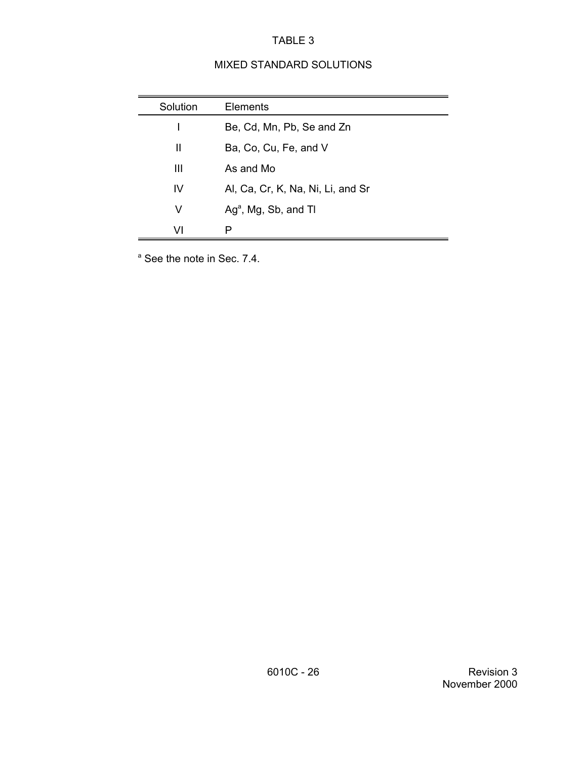# MIXED STANDARD SOLUTIONS

| Solution | <b>Elements</b>                   |
|----------|-----------------------------------|
|          | Be, Cd, Mn, Pb, Se and Zn         |
| Ш        | Ba, Co, Cu, Fe, and V             |
| Ш        | As and Mo                         |
| IV       | Al, Ca, Cr, K, Na, Ni, Li, and Sr |
| V        | $Aga$ , Mg, Sb, and Tl            |
| VI       | P                                 |

<sup>a</sup> See the note in Sec. 7.4.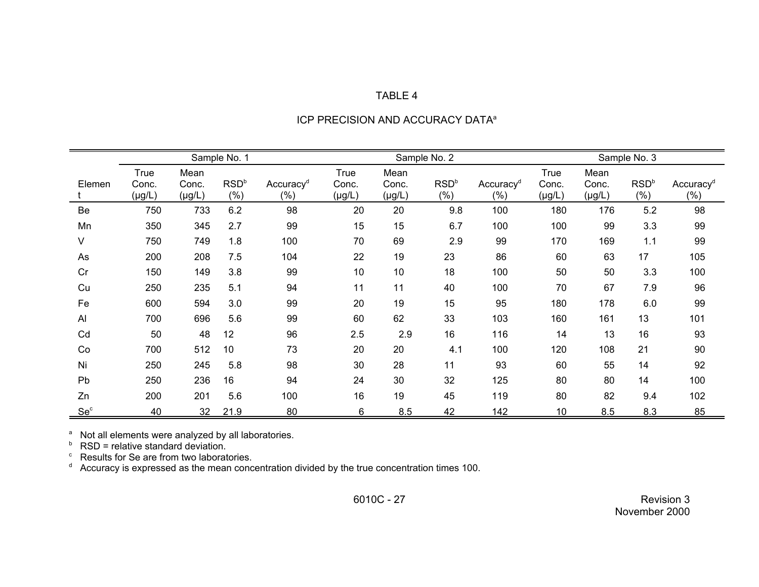|                 |             |             | Sample No. 1     |                       |              |             |                  |                       |              |             |                  |                       |
|-----------------|-------------|-------------|------------------|-----------------------|--------------|-------------|------------------|-----------------------|--------------|-------------|------------------|-----------------------|
|                 |             |             |                  |                       | Sample No. 2 |             |                  |                       | Sample No. 3 |             |                  |                       |
|                 | <b>True</b> | Mean        |                  |                       | <b>True</b>  | Mean        |                  |                       | <b>True</b>  | Mean        |                  |                       |
| Elemen          | Conc.       | Conc.       | RSD <sup>b</sup> | Accuracy <sup>d</sup> | Conc.        | Conc.       | RSD <sup>b</sup> | Accuracy <sup>d</sup> | Conc.        | Conc.       | RSD <sup>b</sup> | Accuracy <sup>d</sup> |
|                 | $(\mu g/L)$ | $(\mu g/L)$ | $(\% )$          | $(\% )$               | $(\mu g/L)$  | $(\mu g/L)$ | (% )             | $(\% )$               | $(\mu g/L)$  | $(\mu g/L)$ | $(\% )$          | $(\%)$                |
| Be              | 750         | 733         | 6.2              | 98                    | 20           | 20          | 9.8              | 100                   | 180          | 176         | 5.2              | 98                    |
| Mn              | 350         | 345         | 2.7              | 99                    | 15           | 15          | 6.7              | 100                   | 100          | 99          | 3.3              | 99                    |
| V               | 750         | 749         | 1.8              | 100                   | 70           | 69          | 2.9              | 99                    | 170          | 169         | 1.1              | 99                    |
| As              | 200         | 208         | 7.5              | 104                   | 22           | 19          | 23               | 86                    | 60           | 63          | 17               | 105                   |
| Cr              | 150         | 149         | 3.8              | 99                    | 10           | 10          | 18               | 100                   | 50           | 50          | 3.3              | 100                   |
| Cu              | 250         | 235         | 5.1              | 94                    | 11           | 11          | 40               | 100                   | 70           | 67          | 7.9              | 96                    |
| Fe              | 600         | 594         | 3.0              | 99                    | 20           | 19          | 15               | 95                    | 180          | 178         | 6.0              | 99                    |
| AI              | 700         | 696         | 5.6              | 99                    | 60           | 62          | 33               | 103                   | 160          | 161         | 13               | 101                   |
| Cd              | 50          | 48          | 12               | 96                    | 2.5          | 2.9         | 16               | 116                   | 14           | 13          | 16               | 93                    |
| Co              | 700         | 512         | 10               | 73                    | 20           | 20          | 4.1              | 100                   | 120          | 108         | 21               | 90                    |
| Ni              | 250         | 245         | 5.8              | 98                    | 30           | 28          | 11               | 93                    | 60           | 55          | 14               | 92                    |
| Pb              | 250         | 236         | 16               | 94                    | 24           | 30          | 32               | 125                   | 80           | 80          | 14               | 100                   |
| Zn              | 200         | 201         | 5.6              | 100                   | 16           | 19          | 45               | 119                   | 80           | 82          | 9.4              | 102                   |
| Se <sup>c</sup> | 40          | 32          | 21.9             | 80                    | 6            | 8.5         | 42               | 142                   | 10           | 8.5         | 8.3              | 85                    |

#### ICP PRECISION AND ACCURACY DATA<sup>a</sup>

a b Not all elements were analyzed by all laboratories.

c d

RSD = relative standard deviation. Results for Se are from two laboratories. Accuracy is expressed as the mean concentration divided by the true concentration times 100.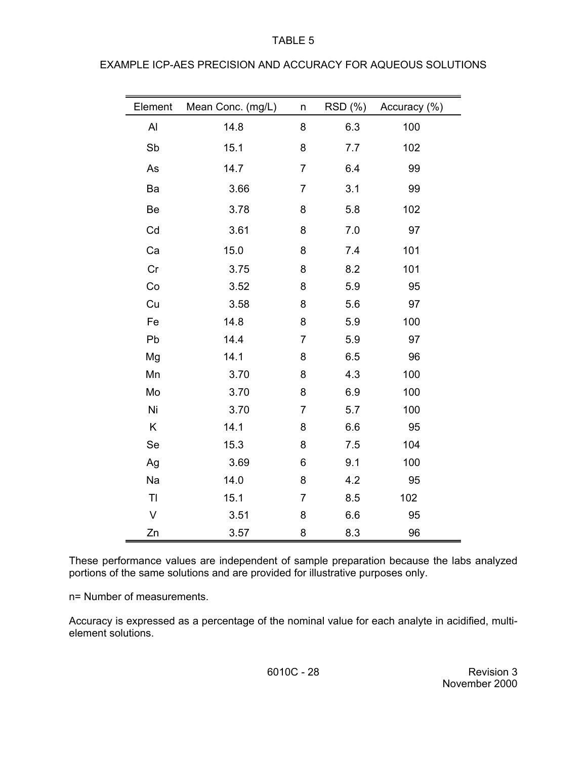| Element        | Mean Conc. (mg/L) | n              | RSD (%) | Accuracy (%) |
|----------------|-------------------|----------------|---------|--------------|
| AI             | 14.8              | 8              | 6.3     | 100          |
| Sb             | 15.1              | 8              | 7.7     | 102          |
| As             | 14.7              | $\overline{7}$ | 6.4     | 99           |
| Ba             | 3.66              | $\overline{7}$ | 3.1     | 99           |
| Be             | 3.78              | 8              | 5.8     | 102          |
| Cd             | 3.61              | 8              | 7.0     | 97           |
| Ca             | 15.0              | 8              | 7.4     | 101          |
| Cr             | 3.75              | 8              | 8.2     | 101          |
| Co             | 3.52              | 8              | 5.9     | 95           |
| Cu             | 3.58              | 8              | 5.6     | 97           |
| Fe             | 14.8              | 8              | 5.9     | 100          |
| Pb             | 14.4              | $\overline{7}$ | 5.9     | 97           |
| Mg             | 14.1              | 8              | 6.5     | 96           |
| Mn             | 3.70              | 8              | 4.3     | 100          |
| Mo             | 3.70              | 8              | 6.9     | 100          |
| Ni             | 3.70              | $\overline{7}$ | 5.7     | 100          |
| $\sf K$        | 14.1              | 8              | 6.6     | 95           |
| Se             | 15.3              | 8              | 7.5     | 104          |
| Ag             | 3.69              | 6              | 9.1     | 100          |
| Na             | 14.0              | 8              | 4.2     | 95           |
| T <sub>l</sub> | 15.1              | $\overline{7}$ | 8.5     | 102          |
| $\sf V$        | 3.51              | 8              | 6.6     | 95           |
| Zn             | 3.57              | 8              | 8.3     | 96           |

EXAMPLE ICP-AES PRECISION AND ACCURACY FOR AQUEOUS SOLUTIONS

These performance values are independent of sample preparation because the labs analyzed portions of the same solutions and are provided for illustrative purposes only.

n= Number of measurements.

Accuracy is expressed as a percentage of the nominal value for each analyte in acidified, multielement solutions.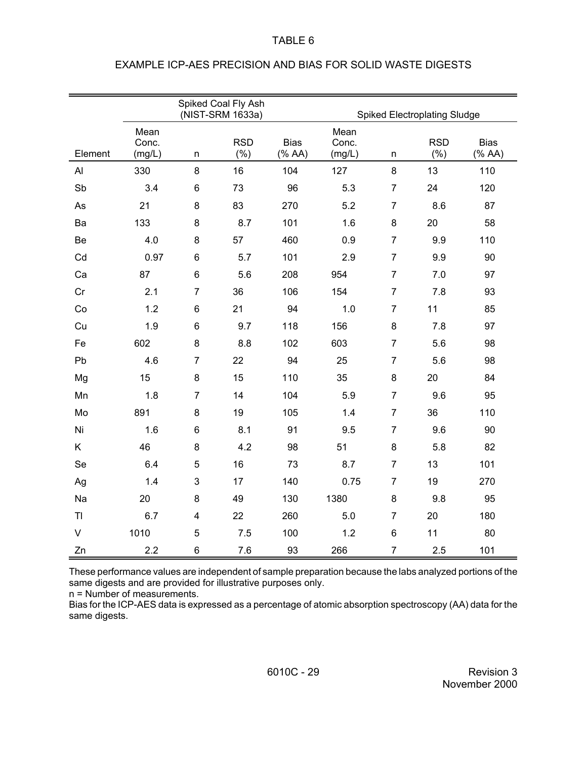|              | Spiked Coal Fly Ash<br>(NIST-SRM 1633a)<br><b>Spiked Electroplating Sludge</b> |                |                   |                                         |                         |                |                   |                                         |
|--------------|--------------------------------------------------------------------------------|----------------|-------------------|-----------------------------------------|-------------------------|----------------|-------------------|-----------------------------------------|
| Element      | Mean<br>Conc.<br>(mg/L)                                                        | $\sf n$        | <b>RSD</b><br>(%) | <b>Bias</b><br>$(% A^{\prime })$ (% AA) | Mean<br>Conc.<br>(mg/L) | n              | <b>RSD</b><br>(%) | <b>Bias</b><br>$(% A^{\prime })$ (% AA) |
| AI           | 330                                                                            | 8              | 16                | 104                                     | 127                     | 8              | 13                | 110                                     |
| Sb           | 3.4                                                                            | $\,6$          | 73                | 96                                      | 5.3                     | $\overline{7}$ | 24                | 120                                     |
| As           | 21                                                                             | $\bf 8$        | 83                | 270                                     | 5.2                     | $\overline{7}$ | 8.6               | 87                                      |
| Ba           | 133                                                                            | 8              | 8.7               | 101                                     | 1.6                     | 8              | 20                | 58                                      |
| Be           | 4.0                                                                            | 8              | 57                | 460                                     | 0.9                     | $\overline{7}$ | 9.9               | 110                                     |
| Cd           | 0.97                                                                           | 6              | 5.7               | 101                                     | 2.9                     | $\overline{7}$ | 9.9               | 90                                      |
| Ca           | 87                                                                             | $\,6$          | 5.6               | 208                                     | 954                     | $\overline{7}$ | 7.0               | 97                                      |
| Cr           | 2.1                                                                            | $\overline{7}$ | 36                | 106                                     | 154                     | $\overline{7}$ | 7.8               | 93                                      |
| Co           | 1.2                                                                            | 6              | 21                | 94                                      | 1.0                     | $\overline{7}$ | 11                | 85                                      |
| Cu           | 1.9                                                                            | 6              | 9.7               | 118                                     | 156                     | 8              | 7.8               | 97                                      |
| Fe           | 602                                                                            | $\bf 8$        | 8.8               | 102                                     | 603                     | $\overline{7}$ | 5.6               | 98                                      |
| Pb           | 4.6                                                                            | $\overline{7}$ | 22                | 94                                      | 25                      | $\overline{7}$ | 5.6               | 98                                      |
| Mg           | 15                                                                             | 8              | 15                | 110                                     | 35                      | 8              | 20                | 84                                      |
| Mn           | 1.8                                                                            | $\overline{7}$ | 14                | 104                                     | 5.9                     | $\overline{7}$ | 9.6               | 95                                      |
| Mo           | 891                                                                            | 8              | 19                | 105                                     | 1.4                     | $\overline{7}$ | 36                | 110                                     |
| Ni           | 1.6                                                                            | $\,6$          | 8.1               | 91                                      | 9.5                     | $\overline{7}$ | 9.6               | 90                                      |
| Κ            | 46                                                                             | $\bf 8$        | 4.2               | 98                                      | 51                      | 8              | 5.8               | 82                                      |
| Se           | 6.4                                                                            | 5              | 16                | 73                                      | 8.7                     | $\overline{7}$ | 13                | 101                                     |
| Ag           | 1.4                                                                            | 3              | 17                | 140                                     | 0.75                    | $\overline{7}$ | 19                | 270                                     |
| Na           | 20                                                                             | $\bf 8$        | 49                | 130                                     | 1380                    | 8              | 9.8               | 95                                      |
| TI           | 6.7                                                                            | 4              | 22                | 260                                     | 5.0                     | $\overline{7}$ | 20                | 180                                     |
| $\mathsf{V}$ | 1010                                                                           | 5              | 7.5               | 100                                     | 1.2                     | 6              | 11                | 80                                      |
| Zn           | 2.2                                                                            | 6              | 7.6               | 93                                      | 266                     | $\overline{7}$ | 2.5               | 101                                     |

# EXAMPLE ICP-AES PRECISION AND BIAS FOR SOLID WASTE DIGESTS

These performance values are independent of sample preparation because the labs analyzed portions of the same digests and are provided for illustrative purposes only.

n = Number of measurements.

Bias for the ICP-AES data is expressed as a percentage of atomic absorption spectroscopy (AA) data for the same digests.